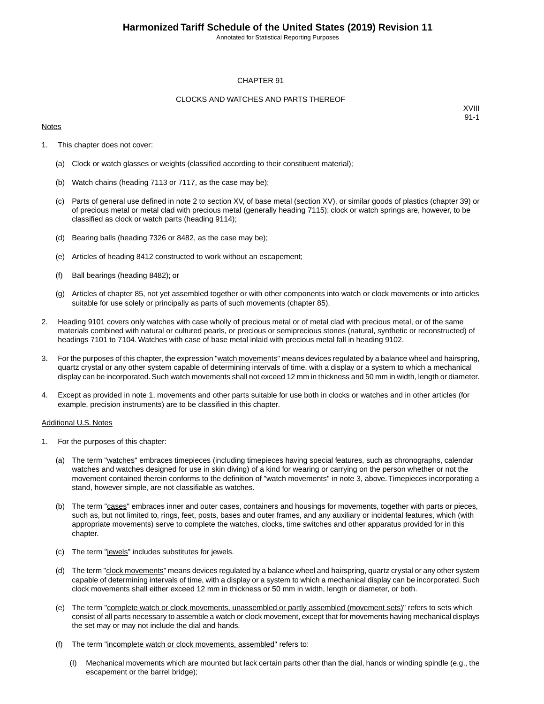Annotated for Statistical Reporting Purposes

#### CHAPTER 91

#### CLOCKS AND WATCHES AND PARTS THEREOF

#### **Notes**

XVIII 91-1

- 1. This chapter does not cover:
	- (a) Clock or watch glasses or weights (classified according to their constituent material);
	- (b) Watch chains (heading 7113 or 7117, as the case may be);
	- (c) Parts of general use defined in note 2 to section XV, of base metal (section XV), or similar goods of plastics (chapter 39) or of precious metal or metal clad with precious metal (generally heading 7115); clock or watch springs are, however, to be classified as clock or watch parts (heading 9114);
	- (d) Bearing balls (heading 7326 or 8482, as the case may be);
	- (e) Articles of heading 8412 constructed to work without an escapement;
	- (f) Ball bearings (heading 8482); or
	- (g) Articles of chapter 85, not yet assembled together or with other components into watch or clock movements or into articles suitable for use solely or principally as parts of such movements (chapter 85).
- 2. Heading 9101 covers only watches with case wholly of precious metal or of metal clad with precious metal, or of the same materials combined with natural or cultured pearls, or precious or semiprecious stones (natural, synthetic or reconstructed) of headings 7101 to 7104. Watches with case of base metal inlaid with precious metal fall in heading 9102.
- 3. For the purposes of this chapter, the expression "watch movements" means devices regulated by a balance wheel and hairspring, quartz crystal or any other system capable of determining intervals of time, with a display or a system to which a mechanical display can be incorporated. Such watch movements shall not exceed 12 mm in thickness and 50 mm in width, length or diameter.
- 4. Except as provided in note 1, movements and other parts suitable for use both in clocks or watches and in other articles (for example, precision instruments) are to be classified in this chapter.

#### Additional U.S. Notes

- 1. For the purposes of this chapter:
	- (a) The term "watches" embraces timepieces (including timepieces having special features, such as chronographs, calendar watches and watches designed for use in skin diving) of a kind for wearing or carrying on the person whether or not the movement contained therein conforms to the definition of "watch movements" in note 3, above. Timepieces incorporating a stand, however simple, are not classifiable as watches.
	- (b) The term "cases" embraces inner and outer cases, containers and housings for movements, together with parts or pieces, such as, but not limited to, rings, feet, posts, bases and outer frames, and any auxiliary or incidental features, which (with appropriate movements) serve to complete the watches, clocks, time switches and other apparatus provided for in this chapter.
	- (c) The term "jewels" includes substitutes for jewels.
	- (d) The term "clock movements" means devices regulated by a balance wheel and hairspring, quartz crystal or any other system capable of determining intervals of time, with a display or a system to which a mechanical display can be incorporated. Such clock movements shall either exceed 12 mm in thickness or 50 mm in width, length or diameter, or both.
	- (e) The term "complete watch or clock movements, unassembled or partly assembled (movement sets)" refers to sets which consist of all parts necessary to assemble a watch or clock movement, except that for movements having mechanical displays the set may or may not include the dial and hands.
	- (f) The term "incomplete watch or clock movements, assembled" refers to:
		- (I) Mechanical movements which are mounted but lack certain parts other than the dial, hands or winding spindle (e.g., the escapement or the barrel bridge);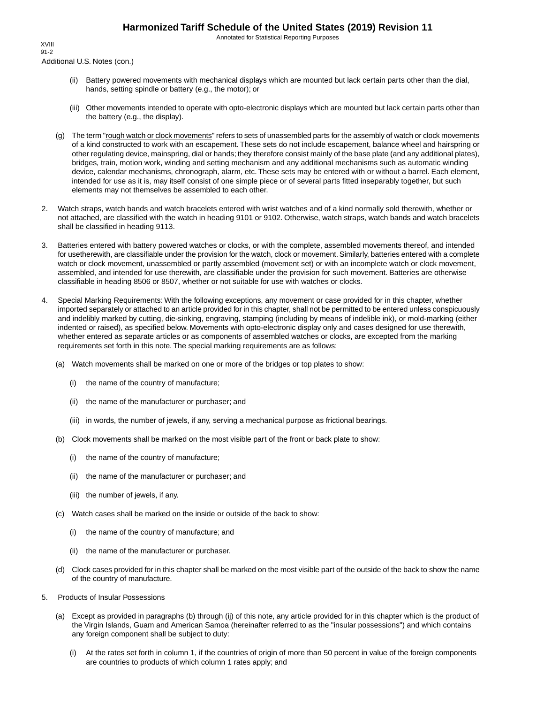Annotated for Statistical Reporting Purposes

Additional U.S. Notes (con.) XVIII 91-2

- (ii) Battery powered movements with mechanical displays which are mounted but lack certain parts other than the dial, hands, setting spindle or battery (e.g., the motor); or
- (iii) Other movements intended to operate with opto-electronic displays which are mounted but lack certain parts other than the battery (e.g., the display).
- (g) The term "rough watch or clock movements" refers to sets of unassembled parts for the assembly of watch or clock movements of a kind constructed to work with an escapement. These sets do not include escapement, balance wheel and hairspring or other regulating device, mainspring, dial or hands; they therefore consist mainly of the base plate (and any additional plates), bridges, train, motion work, winding and setting mechanism and any additional mechanisms such as automatic winding device, calendar mechanisms, chronograph, alarm, etc. These sets may be entered with or without a barrel. Each element, intended for use as it is, may itself consist of one simple piece or of several parts fitted inseparably together, but such elements may not themselves be assembled to each other.
- 2. Watch straps, watch bands and watch bracelets entered with wrist watches and of a kind normally sold therewith, whether or not attached, are classified with the watch in heading 9101 or 9102. Otherwise, watch straps, watch bands and watch bracelets shall be classified in heading 9113.
- 3. Batteries entered with battery powered watches or clocks, or with the complete, assembled movements thereof, and intended for usetherewith, are classifiable under the provision for the watch, clock or movement. Similarly, batteries entered with a complete watch or clock movement, unassembled or partly assembled (movement set) or with an incomplete watch or clock movement, assembled, and intended for use therewith, are classifiable under the provision for such movement. Batteries are otherwise classifiable in heading 8506 or 8507, whether or not suitable for use with watches or clocks.
- 4. Special Marking Requirements: With the following exceptions, any movement or case provided for in this chapter, whether imported separately or attached to an article provided for in this chapter, shall not be permitted to be entered unless conspicuously and indelibly marked by cutting, die-sinking, engraving, stamping (including by means of indelible ink), or mold-marking (either indented or raised), as specified below. Movements with opto-electronic display only and cases designed for use therewith, whether entered as separate articles or as components of assembled watches or clocks, are excepted from the marking requirements set forth in this note. The special marking requirements are as follows:
	- (a) Watch movements shall be marked on one or more of the bridges or top plates to show:
		- (i) the name of the country of manufacture;
		- (ii) the name of the manufacturer or purchaser; and
		- (iii) in words, the number of jewels, if any, serving a mechanical purpose as frictional bearings.
	- (b) Clock movements shall be marked on the most visible part of the front or back plate to show:
		- (i) the name of the country of manufacture;
		- (ii) the name of the manufacturer or purchaser; and
		- (iii) the number of jewels, if any.
	- (c) Watch cases shall be marked on the inside or outside of the back to show:
		- (i) the name of the country of manufacture; and
		- (ii) the name of the manufacturer or purchaser.
	- (d) Clock cases provided for in this chapter shall be marked on the most visible part of the outside of the back to show the name of the country of manufacture.
- 5. Products of Insular Possessions
	- (a) Except as provided in paragraphs (b) through (ij) of this note, any article provided for in this chapter which is the product of the Virgin Islands, Guam and American Samoa (hereinafter referred to as the "insular possessions") and which contains any foreign component shall be subject to duty:
		- (i) At the rates set forth in column 1, if the countries of origin of more than 50 percent in value of the foreign components are countries to products of which column 1 rates apply; and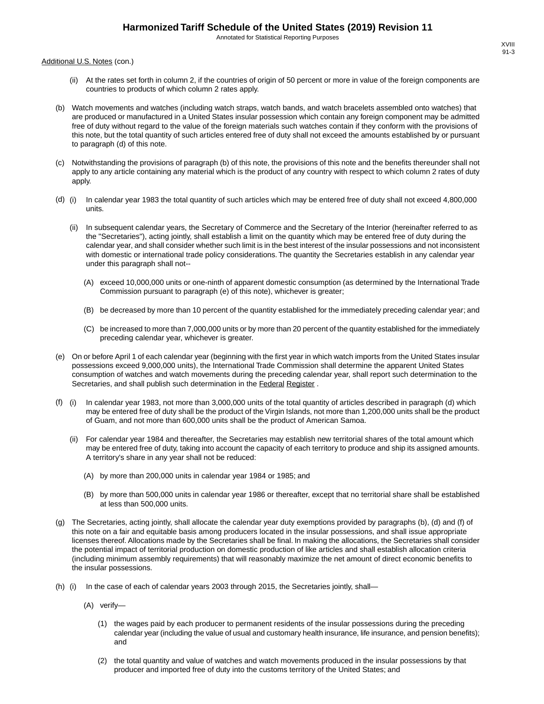Annotated for Statistical Reporting Purposes

Additional U.S. Notes (con.)

- (ii) At the rates set forth in column 2, if the countries of origin of 50 percent or more in value of the foreign components are countries to products of which column 2 rates apply.
- (b) Watch movements and watches (including watch straps, watch bands, and watch bracelets assembled onto watches) that are produced or manufactured in a United States insular possession which contain any foreign component may be admitted free of duty without regard to the value of the foreign materials such watches contain if they conform with the provisions of this note, but the total quantity of such articles entered free of duty shall not exceed the amounts established by or pursuant to paragraph (d) of this note.
- (c) Notwithstanding the provisions of paragraph (b) of this note, the provisions of this note and the benefits thereunder shall not apply to any article containing any material which is the product of any country with respect to which column 2 rates of duty apply.
- (d) (i) In calendar year 1983 the total quantity of such articles which may be entered free of duty shall not exceed 4,800,000 units.
	- (ii) In subsequent calendar years, the Secretary of Commerce and the Secretary of the Interior (hereinafter referred to as the "Secretaries"), acting jointly, shall establish a limit on the quantity which may be entered free of duty during the calendar year, and shall consider whether such limit is in the best interest of the insular possessions and not inconsistent with domestic or international trade policy considerations. The quantity the Secretaries establish in any calendar year under this paragraph shall not--
		- (A) exceed 10,000,000 units or one-ninth of apparent domestic consumption (as determined by the International Trade Commission pursuant to paragraph (e) of this note), whichever is greater;
		- (B) be decreased by more than 10 percent of the quantity established for the immediately preceding calendar year; and
		- (C) be increased to more than 7,000,000 units or by more than 20 percent of the quantity established for the immediately preceding calendar year, whichever is greater.
- (e) On or before April 1 of each calendar year (beginning with the first year in which watch imports from the United States insular possessions exceed 9,000,000 units), the International Trade Commission shall determine the apparent United States consumption of watches and watch movements during the preceding calendar year, shall report such determination to the Secretaries, and shall publish such determination in the Federal Register .
- (f) (i) In calendar year 1983, not more than 3,000,000 units of the total quantity of articles described in paragraph (d) which may be entered free of duty shall be the product of the Virgin Islands, not more than 1,200,000 units shall be the product of Guam, and not more than 600,000 units shall be the product of American Samoa.
	- (ii) For calendar year 1984 and thereafter, the Secretaries may establish new territorial shares of the total amount which may be entered free of duty, taking into account the capacity of each territory to produce and ship its assigned amounts. A territory's share in any year shall not be reduced:
		- (A) by more than 200,000 units in calendar year 1984 or 1985; and
		- (B) by more than 500,000 units in calendar year 1986 or thereafter, except that no territorial share shall be established at less than 500,000 units.
- (g) The Secretaries, acting jointly, shall allocate the calendar year duty exemptions provided by paragraphs (b), (d) and (f) of this note on a fair and equitable basis among producers located in the insular possessions, and shall issue appropriate licenses thereof. Allocations made by the Secretaries shall be final. In making the allocations, the Secretaries shall consider the potential impact of territorial production on domestic production of like articles and shall establish allocation criteria (including minimum assembly requirements) that will reasonably maximize the net amount of direct economic benefits to the insular possessions.
- (h) (i) In the case of each of calendar years 2003 through 2015, the Secretaries jointly, shall—
	- (A) verify—
		- (1) the wages paid by each producer to permanent residents of the insular possessions during the preceding calendar year (including the value of usual and customary health insurance, life insurance, and pension benefits); and
		- (2) the total quantity and value of watches and watch movements produced in the insular possessions by that producer and imported free of duty into the customs territory of the United States; and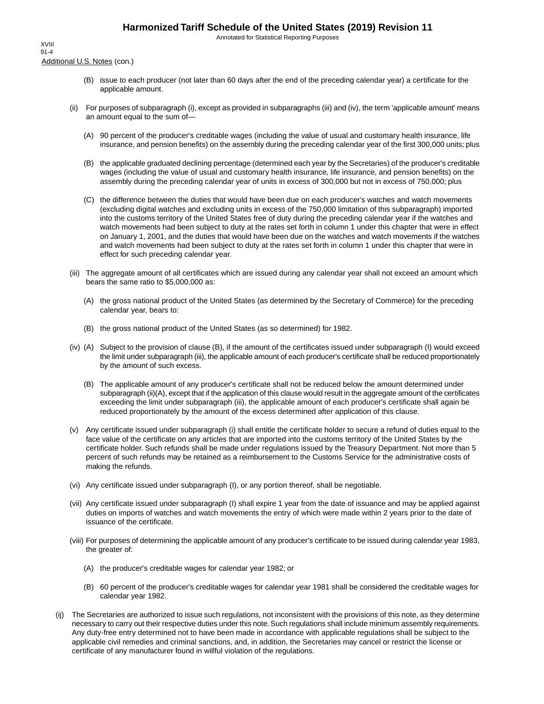Annotated for Statistical Reporting Purposes

Additional U.S. Notes (con.) XVIII 91-4

- (B) issue to each producer (not later than 60 days after the end of the preceding calendar year) a certificate for the applicable amount.
- (ii) For purposes of subparagraph (i), except as provided in subparagraphs (iii) and (iv), the term 'applicable amount' means an amount equal to the sum of—
	- (A) 90 percent of the producer's creditable wages (including the value of usual and customary health insurance, life insurance, and pension benefits) on the assembly during the preceding calendar year of the first 300,000 units; plus
	- (B) the applicable graduated declining percentage (determined each year by the Secretaries) of the producer's creditable wages (including the value of usual and customary health insurance, life insurance, and pension benefits) on the assembly during the preceding calendar year of units in excess of 300,000 but not in excess of 750,000; plus
	- (C) the difference between the duties that would have been due on each producer's watches and watch movements (excluding digital watches and excluding units in excess of the 750,000 limitation of this subparagraph) imported into the customs territory of the United States free of duty during the preceding calendar year if the watches and watch movements had been subject to duty at the rates set forth in column 1 under this chapter that were in effect on January 1, 2001, and the duties that would have been due on the watches and watch movements if the watches and watch movements had been subject to duty at the rates set forth in column 1 under this chapter that were in effect for such preceding calendar year.
- (iii) The aggregate amount of all certificates which are issued during any calendar year shall not exceed an amount which bears the same ratio to \$5,000,000 as:
	- (A) the gross national product of the United States (as determined by the Secretary of Commerce) for the preceding calendar year, bears to:
	- (B) the gross national product of the United States (as so determined) for 1982.
- (iv) (A) Subject to the provision of clause (B), if the amount of the certificates issued under subparagraph (I) would exceed the limit under subparagraph (iii), the applicable amount of each producer's certificate shall be reduced proportionately by the amount of such excess.
	- (B) The applicable amount of any producer's certificate shall not be reduced below the amount determined under subparagraph (ii)(A), except that if the application of this clause would result in the aggregate amount of the certificates exceeding the limit under subparagraph (iii), the applicable amount of each producer's certificate shall again be reduced proportionately by the amount of the excess determined after application of this clause.
- (v) Any certificate issued under subparagraph (i) shall entitle the certificate holder to secure a refund of duties equal to the face value of the certificate on any articles that are imported into the customs territory of the United States by the certificate holder. Such refunds shall be made under regulations issued by the Treasury Department. Not more than 5 percent of such refunds may be retained as a reimbursement to the Customs Service for the administrative costs of making the refunds.
- (vi) Any certificate issued under subparagraph (I), or any portion thereof, shall be negotiable.
- (vii) Any certificate issued under subparagraph (I) shall expire 1 year from the date of issuance and may be applied against duties on imports of watches and watch movements the entry of which were made within 2 years prior to the date of issuance of the certificate.
- (viii) For purposes of determining the applicable amount of any producer's certificate to be issued during calendar year 1983, the greater of:
	- (A) the producer's creditable wages for calendar year 1982; or
	- (B) 60 percent of the producer's creditable wages for calendar year 1981 shall be considered the creditable wages for calendar year 1982.
- (ij) The Secretaries are authorized to issue such regulations, not inconsistent with the provisions of this note, as they determine necessary to carry out their respective duties under this note. Such regulations shall include minimum assembly requirements. Any duty-free entry determined not to have been made in accordance with applicable regulations shall be subject to the applicable civil remedies and criminal sanctions, and, in addition, the Secretaries may cancel or restrict the license or certificate of any manufacturer found in willful violation of the regulations.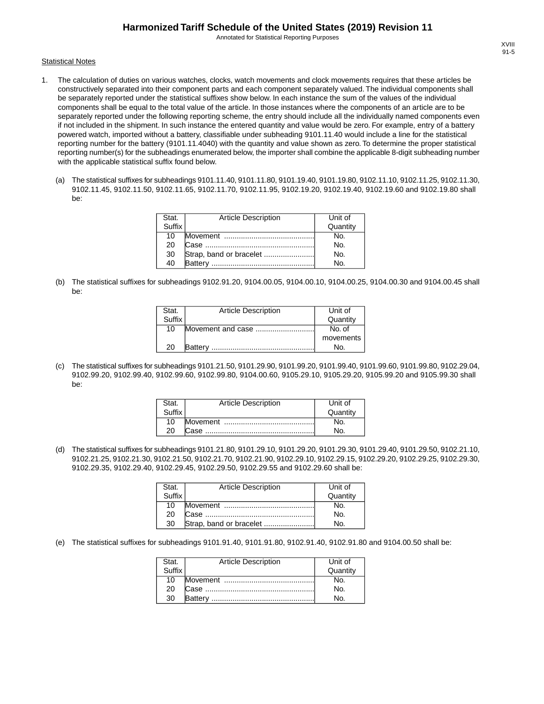Annotated for Statistical Reporting Purposes

#### **Statistical Notes**

- 1. The calculation of duties on various watches, clocks, watch movements and clock movements requires that these articles be constructively separated into their component parts and each component separately valued. The individual components shall be separately reported under the statistical suffixes show below. In each instance the sum of the values of the individual components shall be equal to the total value of the article. In those instances where the components of an article are to be separately reported under the following reporting scheme, the entry should include all the individually named components even if not included in the shipment. In such instance the entered quantity and value would be zero. For example, entry of a battery powered watch, imported without a battery, classifiable under subheading 9101.11.40 would include a line for the statistical reporting number for the battery (9101.11.4040) with the quantity and value shown as zero. To determine the proper statistical reporting number(s) for the subheadings enumerated below, the importer shall combine the applicable 8-digit subheading number with the applicable statistical suffix found below.
	- (a) The statistical suffixes for subheadings 9101.11.40, 9101.11.80, 9101.19.40, 9101.19.80, 9102.11.10, 9102.11.25, 9102.11.30, 9102.11.45, 9102.11.50, 9102.11.65, 9102.11.70, 9102.11.95, 9102.19.20, 9102.19.40, 9102.19.60 and 9102.19.80 shall be:

| Stat.  | <b>Article Description</b> | Unit of  |
|--------|----------------------------|----------|
| Suffix |                            | Quantity |
| 10     |                            | No.      |
| 20     |                            | No.      |
| 30     |                            | No.      |
| 40     | Battery                    | No.      |

(b) The statistical suffixes for subheadings 9102.91.20, 9104.00.05, 9104.00.10, 9104.00.25, 9104.00.30 and 9104.00.45 shall be:

| Stat.  | <b>Article Description</b> | Unit of   |
|--------|----------------------------|-----------|
| Suffix |                            | Quantity  |
| 10     | Movement and case          | No. of    |
|        |                            | movements |
| 20     | <b>Battery</b>             | No.       |

(c) The statistical suffixes for subheadings 9101.21.50, 9101.29.90, 9101.99.20, 9101.99.40, 9101.99.60, 9101.99.80, 9102.29.04, 9102.99.20, 9102.99.40, 9102.99.60, 9102.99.80, 9104.00.60, 9105.29.10, 9105.29.20, 9105.99.20 and 9105.99.30 shall be:

| Stat.  | <b>Article Description</b> | Unit of  |
|--------|----------------------------|----------|
| Suffix |                            | Quantity |
| 10     |                            |          |
| 20     |                            |          |

(d) The statistical suffixes for subheadings 9101.21.80, 9101.29.10, 9101.29.20, 9101.29.30, 9101.29.40, 9101.29.50, 9102.21.10, 9102.21.25, 9102.21.30, 9102.21.50, 9102.21.70, 9102.21.90, 9102.29.10, 9102.29.15, 9102.29.20, 9102.29.25, 9102.29.30, 9102.29.35, 9102.29.40, 9102.29.45, 9102.29.50, 9102.29.55 and 9102.29.60 shall be:

| Stat.<br>Suffix | <b>Article Description</b> | Unit of  |
|-----------------|----------------------------|----------|
|                 |                            | Quantity |
| 10              |                            | No.      |
| 20              |                            | No.      |
| 30              | Strap, band or bracelet    | N٥       |

(e) The statistical suffixes for subheadings 9101.91.40, 9101.91.80, 9102.91.40, 9102.91.80 and 9104.00.50 shall be:

| Stat.  | <b>Article Description</b> | Unit of        |
|--------|----------------------------|----------------|
| Suffix |                            | Quantity       |
| 10     |                            | No.            |
| 20     |                            | N <sub>O</sub> |
| 30     |                            | N٥             |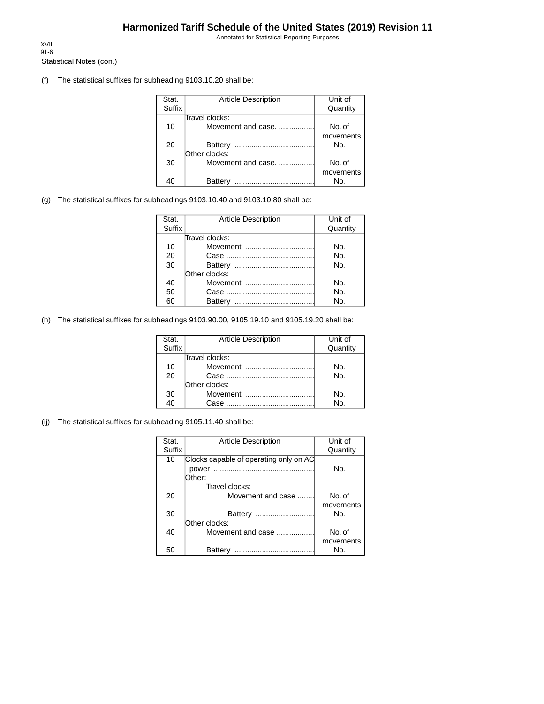Annotated for Statistical Reporting Purposes

Statistical Notes (con.) XVIII 91-6

(f) The statistical suffixes for subheading 9103.10.20 shall be:

| Stat.  | <b>Article Description</b> | Unit of   |
|--------|----------------------------|-----------|
| Suffix |                            | Quantity  |
|        | Travel clocks:             |           |
| 10     | Movement and case.         | No. of    |
|        |                            | movements |
| 20     | Battery                    | No.       |
|        | Other clocks:              |           |
| 30     | Movement and case.         | No. of    |
|        |                            | movements |
| 40     | Batterv                    | Nο.       |

(g) The statistical suffixes for subheadings 9103.10.40 and 9103.10.80 shall be:

| Stat.  | <b>Article Description</b> | Unit of  |
|--------|----------------------------|----------|
| Suffix |                            | Quantity |
|        | Travel clocks:             |          |
| 10     | Movement                   | No.      |
| 20     |                            | No.      |
| 30     |                            | No.      |
|        | Other clocks:              |          |
| 40     | Movement                   | No.      |
| 50     |                            | No.      |
| 60     | Battery                    | No.      |

(h) The statistical suffixes for subheadings 9103.90.00, 9105.19.10 and 9105.19.20 shall be:

| Stat.<br>Suffix | <b>Article Description</b> | Unit of<br>Quantity |
|-----------------|----------------------------|---------------------|
|                 | Travel clocks:             |                     |
| 10              | Movement                   | No.                 |
| 20              |                            | No.                 |
|                 | Other clocks:              |                     |
| 30              | Movement                   | No.                 |
| 40              | Case                       | No.                 |

(ij) The statistical suffixes for subheading 9105.11.40 shall be:

| Stat.  | <b>Article Description</b>             | Unit of   |
|--------|----------------------------------------|-----------|
| Suffix |                                        | Quantity  |
| 10     | Clocks capable of operating only on AC |           |
|        | power                                  | No.       |
|        | Dther:                                 |           |
|        | Travel clocks:                         |           |
| 20     | Movement and case                      | No. of    |
|        |                                        | movements |
| 30     | Battery<br>                            | No.       |
|        | Other clocks:                          |           |
| 40     | Movement and case                      | No. of    |
|        |                                        | movements |
| 50     | Battery<br>                            | No.       |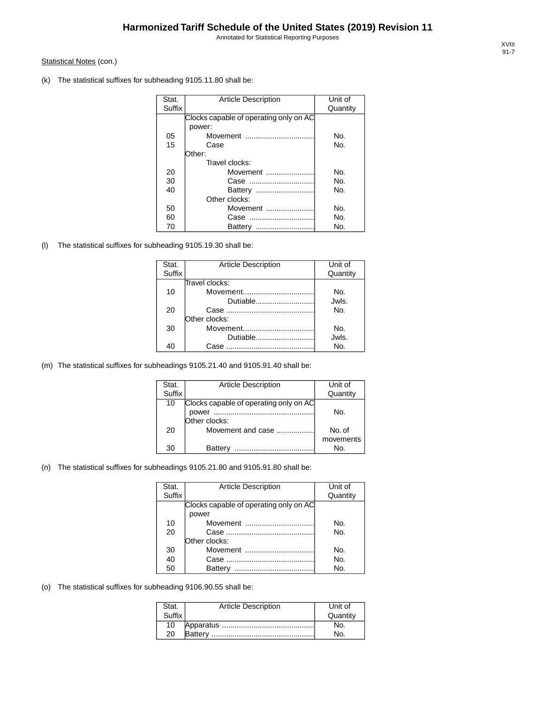Annotated for Statistical Reporting Purposes

#### Statistical Notes (con.)

(k) The statistical suffixes for subheading 9105.11.80 shall be:

| Stat.         | <b>Article Description</b>             | Unit of  |
|---------------|----------------------------------------|----------|
| <b>Suffix</b> |                                        | Quantity |
|               | Clocks capable of operating only on AC |          |
|               | power:                                 |          |
| 05            | Movement                               | No.      |
| 15            | Case                                   | No.      |
|               | Other:                                 |          |
|               | Travel clocks:                         |          |
| 20            | Movement                               | No.      |
| 30            | Case                                   | No.      |
| 40            |                                        | No.      |
|               | Other clocks:                          |          |
| 50            | Movement                               | No.      |
| 60            |                                        | No.      |
| 70            | Battery                                | No.      |

(l) The statistical suffixes for subheading 9105.19.30 shall be:

| Stat.  | <b>Article Description</b> | Unit of  |
|--------|----------------------------|----------|
| Suffix |                            | Quantity |
|        | Travel clocks:             |          |
| 10     | Movement                   | No.      |
|        | Dutiable                   | Jwls.    |
| 20     |                            | No.      |
|        | Other clocks:              |          |
| 30     | Movement                   | No.      |
|        | Dutiable                   | Jwls.    |
| 40     | Case                       | No.      |

(m) The statistical suffixes for subheadings 9105.21.40 and 9105.91.40 shall be:

| Stat.  | <b>Article Description</b>             | Unit of   |
|--------|----------------------------------------|-----------|
| Suffix |                                        | Quantity  |
| 10     | Clocks capable of operating only on AC |           |
|        | power                                  | No.       |
|        | Other clocks:                          |           |
| 20     | Movement and case                      | No. of    |
|        |                                        | movements |
| 30     | Battery                                | No.       |

#### (n) The statistical suffixes for subheadings 9105.21.80 and 9105.91.80 shall be:

| Stat.         | <b>Article Description</b>             | Unit of  |
|---------------|----------------------------------------|----------|
| <b>Suffix</b> |                                        | Quantity |
|               | Clocks capable of operating only on AC |          |
|               | power                                  |          |
| 10            | Movement                               | No.      |
| 20            |                                        | No.      |
|               | Other clocks:                          |          |
| 30            | Movement                               | No.      |
| 40            |                                        | No.      |
| 50            | Battery                                | Nο.      |

(o) The statistical suffixes for subheading 9106.90.55 shall be:

| Stat.  | <b>Article Description</b> | Unit of  |
|--------|----------------------------|----------|
| Suffix |                            | Quantity |
| 10     |                            |          |
| 20     |                            |          |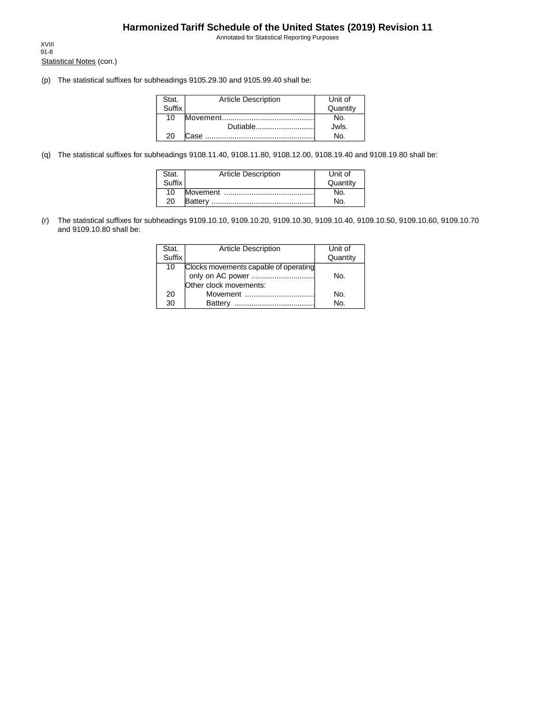Annotated for Statistical Reporting Purposes

Statistical Notes (con.) XVIII 91-8

(p) The statistical suffixes for subheadings 9105.29.30 and 9105.99.40 shall be:

| Stat.  | <b>Article Description</b> | Unit of  |
|--------|----------------------------|----------|
| Suffix |                            | Quantity |
| 10     |                            | N٥       |
|        | Dutiable                   | Jwls.    |
| 20     | Case                       | No       |

(q) The statistical suffixes for subheadings 9108.11.40, 9108.11.80, 9108.12.00, 9108.19.40 and 9108.19.80 shall be:

| Stat.  | <b>Article Description</b> | Unit of  |
|--------|----------------------------|----------|
| Suffix |                            | Quantity |
| 10     |                            | NO.      |
| 20     |                            | No.      |

(r) The statistical suffixes for subheadings 9109.10.10, 9109.10.20, 9109.10.30, 9109.10.40, 9109.10.50, 9109.10.60, 9109.10.70 and 9109.10.80 shall be:

| Stat.  | <b>Article Description</b>            | Unit of  |
|--------|---------------------------------------|----------|
| Suffix |                                       | Quantity |
| 10     | Clocks movements capable of operating |          |
|        |                                       | No.      |
|        | Other clock movements:                |          |
| 20     | Movement                              | No.      |
| 30     | <b>Battery</b><br>                    | No.      |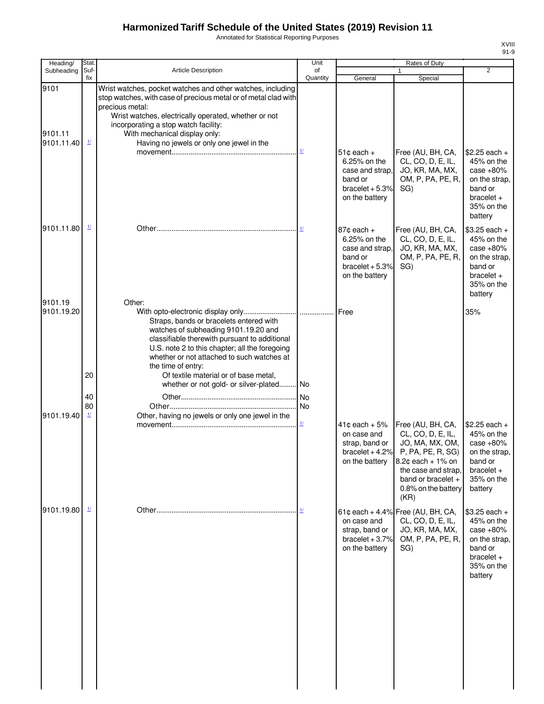Annotated for Statistical Reporting Purposes

| Heading/                      | Stat.                    |                                                                                                                                                                                                                                                                                                                                                    | Unit                     |                                                                                                    | Rates of Duty                                                                                                                                                                     |                                                                                                                  |
|-------------------------------|--------------------------|----------------------------------------------------------------------------------------------------------------------------------------------------------------------------------------------------------------------------------------------------------------------------------------------------------------------------------------------------|--------------------------|----------------------------------------------------------------------------------------------------|-----------------------------------------------------------------------------------------------------------------------------------------------------------------------------------|------------------------------------------------------------------------------------------------------------------|
| Subheading                    | Suf-<br>fix              | Article Description                                                                                                                                                                                                                                                                                                                                | of<br>Quantity           | General                                                                                            | $\mathbf{1}$<br>Special                                                                                                                                                           | $\overline{2}$                                                                                                   |
| 9101<br>9101.11<br>9101.11.40 | $\mathbf{\underline{1}}$ | Wrist watches, pocket watches and other watches, including<br>stop watches, with case of precious metal or of metal clad with<br>precious metal:<br>Wrist watches, electrically operated, whether or not<br>incorporating a stop watch facility:<br>With mechanical display only:<br>Having no jewels or only one jewel in the                     |                          |                                                                                                    |                                                                                                                                                                                   |                                                                                                                  |
|                               |                          |                                                                                                                                                                                                                                                                                                                                                    | $\mathbf{\underline{1}}$ | $51¢$ each $+$<br>6.25% on the<br>case and strap.<br>band or<br>bracelet $+5.3%$<br>on the battery | Free (AU, BH, CA,<br>CL, CO, D, E, IL,<br>JO, KR, MA, MX,<br>OM, P, PA, PE, R,<br>SG)                                                                                             | $$2.25$ each +<br>45% on the<br>case $+80%$<br>on the strap,<br>band or<br>$bracelet +$<br>35% on the<br>battery |
| 9101.11.80                    | $\mathbf{\underline{1}}$ |                                                                                                                                                                                                                                                                                                                                                    |                          | $87¢$ each $+$<br>6.25% on the<br>case and strap,<br>band or<br>bracelet $+5.3%$<br>on the battery | Free (AU, BH, CA,<br>CL, CO, D, E, IL,<br>JO, KR, MA, MX,<br>OM, P, PA, PE, R,<br>SG)                                                                                             | $$3.25$ each +<br>45% on the<br>case $+80%$<br>on the strap,<br>band or<br>bracelet $+$<br>35% on the<br>battery |
| 9101.19<br>9101.19.20         | 20                       | Other:<br>Straps, bands or bracelets entered with<br>watches of subheading 9101.19.20 and<br>classifiable therewith pursuant to additional<br>U.S. note 2 to this chapter; all the foregoing<br>whether or not attached to such watches at<br>the time of entry:<br>Of textile material or of base metal,<br>whether or not gold- or silver-plated | <b>No</b>                |                                                                                                    |                                                                                                                                                                                   | 35%                                                                                                              |
|                               | 40                       |                                                                                                                                                                                                                                                                                                                                                    |                          |                                                                                                    |                                                                                                                                                                                   |                                                                                                                  |
| 9101.19.40                    | 80<br>$\frac{1}{2}$      | Other, having no jewels or only one jewel in the                                                                                                                                                                                                                                                                                                   | $\underline{1}$          | $41¢$ each + 5%<br>on case and<br>strap, band or<br>$bracket + 4.2\%$<br>on the battery            | Free (AU, BH, CA,<br>CL, CO, D, E, IL,<br>JO, MA, MX, OM,<br>P, PA, PE, R, SG)<br>8.2¢ each + 1% on<br>the case and strap,<br>band or bracelet $+$<br>0.8% on the battery<br>(KR) | $$2.25$ each +<br>45% on the<br>case $+80%$<br>on the strap,<br>band or<br>$bracelet +$<br>35% on the<br>battery |
| 9101.19.80                    | $\mathbf{\underline{1}}$ |                                                                                                                                                                                                                                                                                                                                                    | $\mathbf{\underline{1}}$ | on case and<br>strap, band or<br>bracelet $+3.7%$<br>on the battery                                | 61¢ each + 4.4% Free (AU, BH, CA,<br>CL, CO, D, E, IL,<br>JO, KR, MA, MX,<br>OM, P, PA, PE, R,<br>SG)                                                                             | \$3.25 each +<br>45% on the<br>case $+80%$<br>on the strap,<br>band or<br>$bracelet +$<br>35% on the<br>battery  |
|                               |                          |                                                                                                                                                                                                                                                                                                                                                    |                          |                                                                                                    |                                                                                                                                                                                   |                                                                                                                  |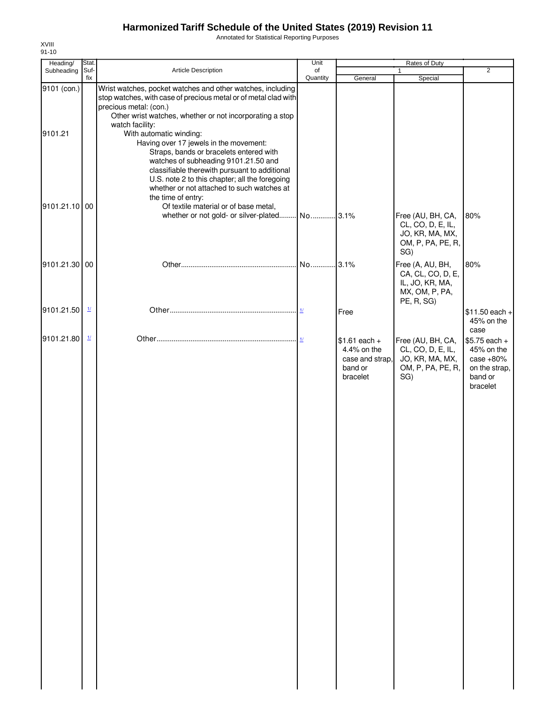Annotated for Statistical Reporting Purposes

| Heading/               | Stat.                    |                                                                                                                                                                                                                                                                                                                                                                                                                                                                                                   | Unit           |                                                                         | Rates of Duty                                                                            |                                                                                     |
|------------------------|--------------------------|---------------------------------------------------------------------------------------------------------------------------------------------------------------------------------------------------------------------------------------------------------------------------------------------------------------------------------------------------------------------------------------------------------------------------------------------------------------------------------------------------|----------------|-------------------------------------------------------------------------|------------------------------------------------------------------------------------------|-------------------------------------------------------------------------------------|
| Subheading             | Suf-<br>fix              | Article Description                                                                                                                                                                                                                                                                                                                                                                                                                                                                               | of<br>Quantity | General                                                                 | $\mathbf{1}$<br>Special                                                                  | 2                                                                                   |
| 9101 (con.)<br>9101.21 |                          | Wrist watches, pocket watches and other watches, including<br>stop watches, with case of precious metal or of metal clad with<br>precious metal: (con.)<br>Other wrist watches, whether or not incorporating a stop<br>watch facility:<br>With automatic winding:<br>Having over 17 jewels in the movement:<br>Straps, bands or bracelets entered with<br>watches of subheading 9101.21.50 and<br>classifiable therewith pursuant to additional<br>U.S. note 2 to this chapter; all the foregoing |                |                                                                         |                                                                                          |                                                                                     |
| 9101.21.10 00          |                          | whether or not attached to such watches at<br>the time of entry:<br>Of textile material or of base metal,                                                                                                                                                                                                                                                                                                                                                                                         |                |                                                                         | Free (AU, BH, CA,<br>CL, CO, D, E, IL,<br>JO, KR, MA, MX,<br>OM, P, PA, PE, R,<br>SG)    | 80%                                                                                 |
| 9101.21.30 00          |                          |                                                                                                                                                                                                                                                                                                                                                                                                                                                                                                   |                |                                                                         | Free (A, AU, BH,<br>CA, CL, CO, D, E,<br>IL, JO, KR, MA,<br>MX, OM, P, PA,<br>PE, R, SG) | 80%                                                                                 |
| 9101.21.50             | $\mathbf{\underline{1}}$ |                                                                                                                                                                                                                                                                                                                                                                                                                                                                                                   |                | Free                                                                    |                                                                                          | $$11.50$ each +<br>45% on the<br>case                                               |
| 9101.21.80             | $\frac{1}{2}$            |                                                                                                                                                                                                                                                                                                                                                                                                                                                                                                   |                | $$1.61$ each +<br>4.4% on the<br>case and strap,<br>band or<br>bracelet | Free (AU, BH, CA,<br>CL, CO, D, E, IL,<br>JO, KR, MA, MX,<br>OM, P, PA, PE, R,<br>SG)    | $$5.75$ each +<br>45% on the<br>case $+80%$<br>on the strap,<br>band or<br>bracelet |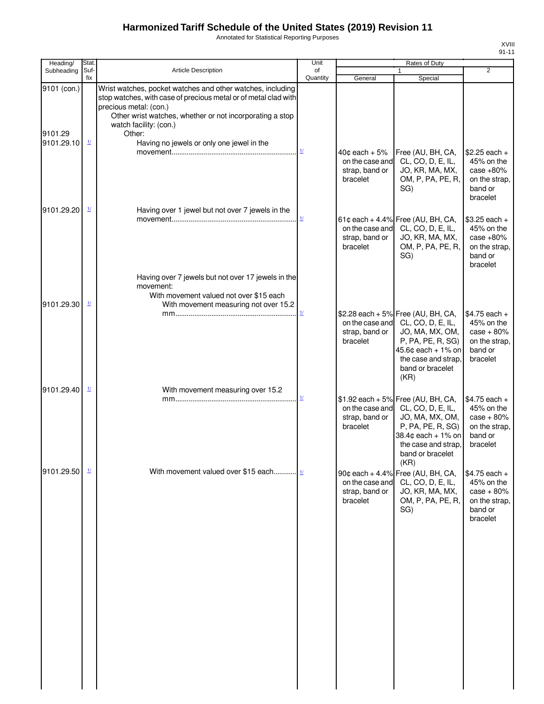Annotated for Statistical Reporting Purposes

| xviii |  |
|-------|--|
| 91-11 |  |

| Heading/               | Stat.                    |                                                                                                                                                                                                                                                         | Unit                               | Rates of Duty                                                       |                                                                                                                                                                                          |                                                                                      |
|------------------------|--------------------------|---------------------------------------------------------------------------------------------------------------------------------------------------------------------------------------------------------------------------------------------------------|------------------------------------|---------------------------------------------------------------------|------------------------------------------------------------------------------------------------------------------------------------------------------------------------------------------|--------------------------------------------------------------------------------------|
| Subheading             | Suf-<br>fix              | <b>Article Description</b>                                                                                                                                                                                                                              | of<br>Quantity                     | General                                                             | 1<br>Special                                                                                                                                                                             | $\overline{2}$                                                                       |
| 9101 (con.)<br>9101.29 |                          | Wrist watches, pocket watches and other watches, including<br>stop watches, with case of precious metal or of metal clad with<br>precious metal: (con.)<br>Other wrist watches, whether or not incorporating a stop<br>watch facility: (con.)<br>Other: |                                    |                                                                     |                                                                                                                                                                                          |                                                                                      |
| 9101.29.10             | $\overline{\mathbf{1}l}$ | Having no jewels or only one jewel in the                                                                                                                                                                                                               | $\frac{1}{2}$                      | $40$ ¢ each + $5%$<br>on the case and<br>strap, band or<br>bracelet | Free (AU, BH, CA,<br>CL, CO, D, E, IL,<br>JO, KR, MA, MX,<br>OM, P, PA, PE, R,<br>SG)                                                                                                    | $$2.25$ each +<br>45% on the<br>case $+80%$<br>on the strap,<br>band or<br>bracelet  |
| 9101.29.20             | $\overline{\mathbf{1}l}$ | Having over 1 jewel but not over 7 jewels in the                                                                                                                                                                                                        | $\mathbf{\underline{1}}$           | on the case and<br>strap, band or<br>bracelet                       | 61¢ each + 4.4% Free (AU, BH, CA,<br>CL, CO, D, E, IL,<br>JO, KR, MA, MX,<br>OM, P, PA, PE, R,<br>SG)                                                                                    | $$3.25$ each +<br>45% on the<br>case $+80%$<br>on the strap,<br>band or<br>bracelet  |
| 9101.29.30             | $\frac{1}{2}$            | Having over 7 jewels but not over 17 jewels in the<br>movement:<br>With movement valued not over \$15 each<br>With movement measuring not over 15.2                                                                                                     | $\frac{1}{2}$                      | strap, band or<br>bracelet                                          | \$2.28 each + 5% Free (AU, BH, CA,<br>on the case and CL, CO, D, E, IL,<br>JO, MA, MX, OM,<br>P, PA, PE, R, SG)<br>45.6¢ each + 1% on<br>the case and strap,<br>band or bracelet<br>(KR) | $$4.75$ each +<br>45% on the<br>$case + 80%$<br>on the strap,<br>band or<br>bracelet |
| 9101.29.40             | $\mathbf{\underline{1}}$ | With movement measuring over 15.2                                                                                                                                                                                                                       | $\underline{\mathit{1}\mathit{l}}$ | strap, band or<br>bracelet                                          | \$1.92 each + 5% Free (AU, BH, CA,<br>on the case and CL, CO, D, E, IL,<br>JO, MA, MX, OM,<br>P, PA, PE, R, SG)<br>38.4¢ each + 1% on<br>the case and strap,<br>band or bracelet<br>(KR) | $$4.75$ each +<br>45% on the<br>$case + 80%$<br>on the strap,<br>band or<br>bracelet |
| 9101.29.50             | $\frac{1}{2}$            | With movement valued over \$15 each 1/                                                                                                                                                                                                                  |                                    | on the case and<br>strap, band or<br>bracelet                       | 90¢ each + 4.4% Free (AU, BH, CA,<br>CL, CO, D, E, IL,<br>JO, KR, MA, MX,<br>OM, P, PA, PE, R,<br>SG)                                                                                    | $$4.75$ each +<br>45% on the<br>$case + 80%$<br>on the strap,<br>band or<br>bracelet |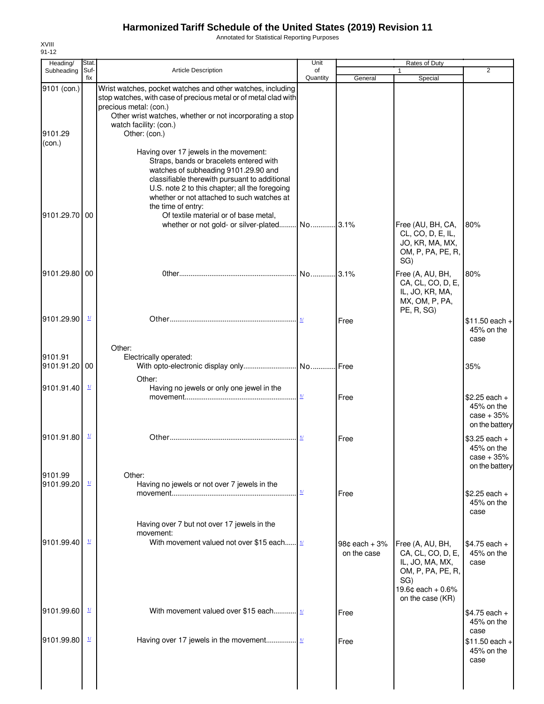Annotated for Statistical Reporting Purposes

| Heading/                         | Stat.                    |                                                                                                                                                                                                                                                                                                                                          | Unit                      |                                  | Rates of Duty                                                                            |                                                                |
|----------------------------------|--------------------------|------------------------------------------------------------------------------------------------------------------------------------------------------------------------------------------------------------------------------------------------------------------------------------------------------------------------------------------|---------------------------|----------------------------------|------------------------------------------------------------------------------------------|----------------------------------------------------------------|
| Subheading                       | Suf-<br>fix              | <b>Article Description</b>                                                                                                                                                                                                                                                                                                               | of<br>Quantity            | General                          | $\mathbf{1}$<br>Special                                                                  | 2                                                              |
| 9101 (con.)<br>9101.29<br>(con.) |                          | Wrist watches, pocket watches and other watches, including<br>stop watches, with case of precious metal or of metal clad with<br>precious metal: (con.)<br>Other wrist watches, whether or not incorporating a stop<br>watch facility: (con.)<br>Other: (con.)<br>Having over 17 jewels in the movement:                                 |                           |                                  |                                                                                          |                                                                |
| 9101.29.70 00                    |                          | Straps, bands or bracelets entered with<br>watches of subheading 9101.29.90 and<br>classifiable therewith pursuant to additional<br>U.S. note 2 to this chapter; all the foregoing<br>whether or not attached to such watches at<br>the time of entry:<br>Of textile material or of base metal,<br>whether or not gold- or silver-plated | No 3.1%                   |                                  | Free (AU, BH, CA,<br>CL, CO, D, E, IL,<br>JO, KR, MA, MX,<br>OM, P, PA, PE, R,<br>SG)    | 80%                                                            |
| 9101.29.80                       | 00                       |                                                                                                                                                                                                                                                                                                                                          |                           |                                  | Free (A, AU, BH,<br>CA, CL, CO, D, E,<br>IL, JO, KR, MA,<br>MX, OM, P, PA,<br>PE, R, SG) | 80%                                                            |
| 9101.29.90                       | $\mathbf{\underline{1}}$ | Other:                                                                                                                                                                                                                                                                                                                                   |                           | Free                             |                                                                                          | $$11.50$ each +<br>45% on the<br>case                          |
| 9101.91<br>9101.91.20 00         |                          | Electrically operated:<br>Other:                                                                                                                                                                                                                                                                                                         |                           |                                  |                                                                                          | 35%                                                            |
| 9101.91.40                       | $\mathbf{\underline{1}}$ | Having no jewels or only one jewel in the                                                                                                                                                                                                                                                                                                | $\frac{1}{2}$             | Free                             |                                                                                          | $$2.25$ each +<br>45% on the<br>$case + 35%$<br>on the battery |
| 9101.91.80                       | $\mathbf{\underline{1}}$ |                                                                                                                                                                                                                                                                                                                                          |                           | Free                             |                                                                                          | $$3.25$ each +<br>45% on the<br>$case + 35%$<br>on the battery |
| 9101.99<br>9101.99.20            | $\mathbf{\underline{1}}$ | Other:<br>Having no jewels or not over 7 jewels in the                                                                                                                                                                                                                                                                                   | $\underline{\mathcal{H}}$ | Free                             |                                                                                          | $$2.25$ each +<br>45% on the                                   |
| 9101.99.40                       | $\mathbf{\underline{1}}$ | Having over 7 but not over 17 jewels in the<br>movement:<br>With movement valued not over \$15 each $\frac{1}{1}$                                                                                                                                                                                                                        |                           | $98¢$ each $+3\%$<br>on the case | Free (A, AU, BH,<br>CA, CL, CO, D, E,<br>IL, JO, MA, MX,<br>OM, P, PA, PE, R,<br>SG)     | case<br>$$4.75$ each +<br>45% on the<br>case                   |
| 9101.99.60                       | $\mathbf{\underline{1}}$ | With movement valued over \$15 each 1/                                                                                                                                                                                                                                                                                                   |                           | Free                             | 19.6¢ each + 0.6%<br>on the case (KR)                                                    | $$4.75$ each +<br>45% on the                                   |
| 9101.99.80                       | $\mathbf{\underline{1}}$ |                                                                                                                                                                                                                                                                                                                                          |                           | Free                             |                                                                                          | case<br>$$11.50$ each +<br>45% on the<br>case                  |
|                                  |                          |                                                                                                                                                                                                                                                                                                                                          |                           |                                  |                                                                                          |                                                                |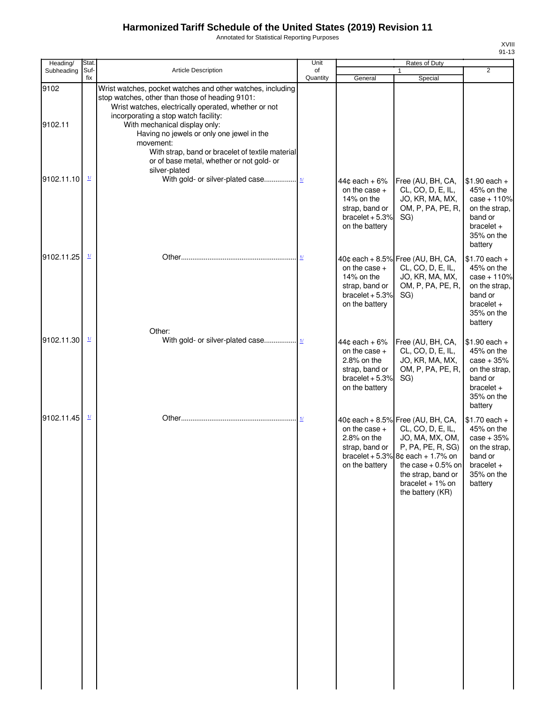Annotated for Statistical Reporting Purposes

| Heading/        | Stat.                                 |                                                                                                                                                                                                                                                                                                                                                                                                                            | Unit                     |                                                                                                           | Rates of Duty                                                                                                                                                                                                                | $\overline{2}$                                                                                                     |
|-----------------|---------------------------------------|----------------------------------------------------------------------------------------------------------------------------------------------------------------------------------------------------------------------------------------------------------------------------------------------------------------------------------------------------------------------------------------------------------------------------|--------------------------|-----------------------------------------------------------------------------------------------------------|------------------------------------------------------------------------------------------------------------------------------------------------------------------------------------------------------------------------------|--------------------------------------------------------------------------------------------------------------------|
| Subheading      | Suf-<br>fix                           | Article Description                                                                                                                                                                                                                                                                                                                                                                                                        | of<br>Quantity           | General                                                                                                   | $\mathbf{1}$<br>Special                                                                                                                                                                                                      |                                                                                                                    |
| 9102<br>9102.11 |                                       | Wrist watches, pocket watches and other watches, including<br>stop watches, other than those of heading 9101:<br>Wrist watches, electrically operated, whether or not<br>incorporating a stop watch facility:<br>With mechanical display only:<br>Having no jewels or only one jewel in the<br>movement:<br>With strap, band or bracelet of textile material<br>or of base metal, whether or not gold- or<br>silver-plated |                          |                                                                                                           |                                                                                                                                                                                                                              |                                                                                                                    |
| 9102.11.10      | $\underline{\mathit{1}\mathit{l}}$    |                                                                                                                                                                                                                                                                                                                                                                                                                            |                          | $44¢$ each + 6%<br>on the case +<br>14% on the<br>strap, band or<br>bracelet $+5.3%$<br>on the battery    | Free (AU, BH, CA,<br>CL, CO, D, E, IL,<br>JO, KR, MA, MX,<br>OM, P, PA, PE, R,<br>SG)                                                                                                                                        | $$1.90$ each +<br>45% on the<br>$case + 110%$<br>on the strap,<br>band or<br>$bracelet +$<br>35% on the<br>battery |
| 9102.11.25      | $\frac{1}{2}$                         |                                                                                                                                                                                                                                                                                                                                                                                                                            |                          | on the case +<br>14% on the<br>strap, band or<br>bracelet $+5.3%$<br>on the battery                       | 40¢ each + 8.5% Free (AU, BH, CA,<br>CL, CO, D, E, IL,<br>JO, KR, MA, MX,<br>OM, P, PA, PE, R,<br>SG)                                                                                                                        | $$1.70$ each +<br>45% on the<br>$case + 110%$<br>on the strap,<br>band or<br>$bracelet +$<br>35% on the<br>battery |
| 9102.11.30      | $\frac{1}{2}$                         | Other:                                                                                                                                                                                                                                                                                                                                                                                                                     |                          | $44¢$ each + 6%<br>on the case $+$<br>2.8% on the<br>strap, band or<br>bracelet $+5.3%$<br>on the battery | Free (AU, BH, CA,<br>CL, CO, D, E, IL,<br>JO, KR, MA, MX,<br>OM, P, PA, PE, R,<br>SG)                                                                                                                                        | $$1.90$ each +<br>45% on the<br>$case + 35%$<br>on the strap,<br>band or<br>$bracelet +$<br>35% on the<br>battery  |
| 9102.11.45      | $\mathbf{\underline{1}\underline{1}}$ |                                                                                                                                                                                                                                                                                                                                                                                                                            | $\mathbf{\underline{1}}$ | on the case $+$<br>2.8% on the<br>strap, band or<br>on the battery                                        | 40¢ each + 8.5% Free (AU, BH, CA,<br>CL, CO, D, E, IL,<br>JO, MA, MX, OM,<br>P, PA, PE, R, SG)<br>bracelet + 5.3% $8¢$ each + 1.7% on<br>the case $+0.5%$ on<br>the strap, band or<br>bracelet $+1\%$ on<br>the battery (KR) | $$1.70$ each +<br>45% on the<br>$case + 35%$<br>on the strap,<br>band or<br>bracelet +<br>35% on the<br>battery    |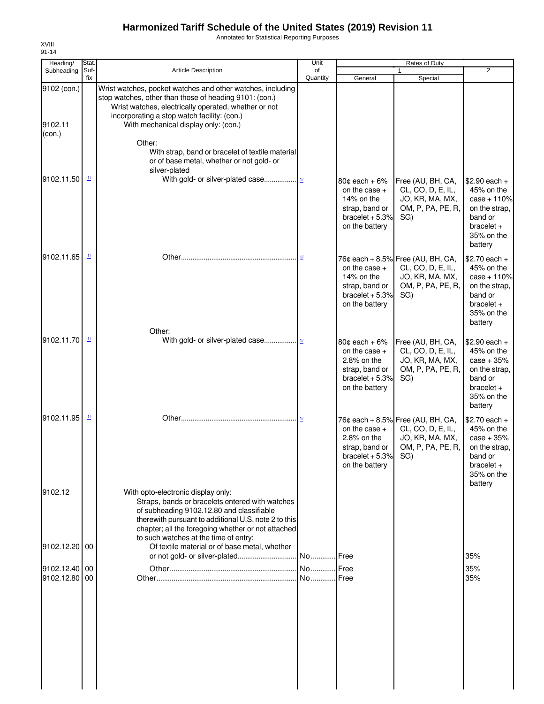Annotated for Statistical Reporting Purposes

| Heading/                         | Stat.                    |                                                                                                                                                                                                                                                                                           | Unit           |                                                                                                                 | Rates of Duty                                                                                         |                                                                                                                    |
|----------------------------------|--------------------------|-------------------------------------------------------------------------------------------------------------------------------------------------------------------------------------------------------------------------------------------------------------------------------------------|----------------|-----------------------------------------------------------------------------------------------------------------|-------------------------------------------------------------------------------------------------------|--------------------------------------------------------------------------------------------------------------------|
| Subheading                       | Suf-<br>fix              | <b>Article Description</b>                                                                                                                                                                                                                                                                | of<br>Quantity | General                                                                                                         | 1<br>Special                                                                                          | $\overline{2}$                                                                                                     |
| 9102 (con.)<br>9102.11<br>(con.) |                          | Wrist watches, pocket watches and other watches, including<br>stop watches, other than those of heading 9101: (con.)<br>Wrist watches, electrically operated, whether or not<br>incorporating a stop watch facility: (con.)<br>With mechanical display only: (con.)<br>Other:             |                |                                                                                                                 |                                                                                                       |                                                                                                                    |
|                                  |                          | With strap, band or bracelet of textile material<br>or of base metal, whether or not gold- or<br>silver-plated                                                                                                                                                                            |                |                                                                                                                 |                                                                                                       |                                                                                                                    |
| 9102.11.50                       | $\mathbf{\underline{1}}$ |                                                                                                                                                                                                                                                                                           |                | 80 $c$ each + 6%<br>on the case $+$<br>14% on the<br>strap, band or<br>bracelet $+5.3%$<br>on the battery       | Free (AU, BH, CA,<br>CL, CO, D, E, IL,<br>JO, KR, MA, MX,<br>OM, P, PA, PE, R,<br>SG)                 | $$2.90$ each +<br>45% on the<br>$case + 110%$<br>on the strap,<br>band or<br>$bracelet +$<br>35% on the<br>battery |
| 9102.11.65                       | $\frac{1}{2}$            | Other:                                                                                                                                                                                                                                                                                    | 1/             | on the case $+$<br>14% on the<br>strap, band or<br>bracelet $+5.3%$<br>on the battery                           | 76¢ each + 8.5% Free (AU, BH, CA,<br>CL, CO, D, E, IL,<br>JO, KR, MA, MX,<br>OM, P, PA, PE, R,<br>SG) | $$2.70$ each +<br>45% on the<br>case + 110%<br>on the strap,<br>band or<br>$bracelet +$<br>35% on the<br>battery   |
| 9102.11.70                       | $\frac{1}{2}$            |                                                                                                                                                                                                                                                                                           |                | $80¢$ each + $6\%$<br>on the case $+$<br>$2.8\%$ on the<br>strap, band or<br>bracelet $+5.3%$<br>on the battery | Free (AU, BH, CA,<br>CL, CO, D, E, IL,<br>JO, KR, MA, MX,<br>OM, P, PA, PE, R,<br>SG)                 | \$2.90 each +<br>45% on the<br>$case + 35%$<br>on the strap,<br>band or<br>$bracelet +$<br>35% on the<br>battery   |
| 9102.11.95                       | $\mathbf{\underline{1}}$ |                                                                                                                                                                                                                                                                                           |                | on the case $+$<br>$2.8\%$ on the<br>strap, band or<br>bracelet $+5.3%$<br>on the battery                       | 76¢ each + 8.5% Free (AU, BH, CA,<br>CL, CO, D, E, IL,<br>JO, KR, MA, MX,<br>OM, P, PA, PE, R,<br>SG) | $$2.70$ each +<br>45% on the<br>$case + 35%$<br>on the strap.<br>band or<br>$bracelet +$<br>35% on the<br>battery  |
| 9102.12                          |                          | With opto-electronic display only:<br>Straps, bands or bracelets entered with watches<br>of subheading 9102.12.80 and classifiable<br>therewith pursuant to additional U.S. note 2 to this<br>chapter; all the foregoing whether or not attached<br>to such watches at the time of entry: |                |                                                                                                                 |                                                                                                       |                                                                                                                    |
| 9102.12.20                       | 00                       | Of textile material or of base metal, whether                                                                                                                                                                                                                                             |                |                                                                                                                 |                                                                                                       | 35%                                                                                                                |
| 9102.12.40 00<br>9102.12.80 00   |                          |                                                                                                                                                                                                                                                                                           | No             | <b>I</b> Free<br>Free                                                                                           |                                                                                                       | 35%<br>35%                                                                                                         |
|                                  |                          |                                                                                                                                                                                                                                                                                           |                |                                                                                                                 |                                                                                                       |                                                                                                                    |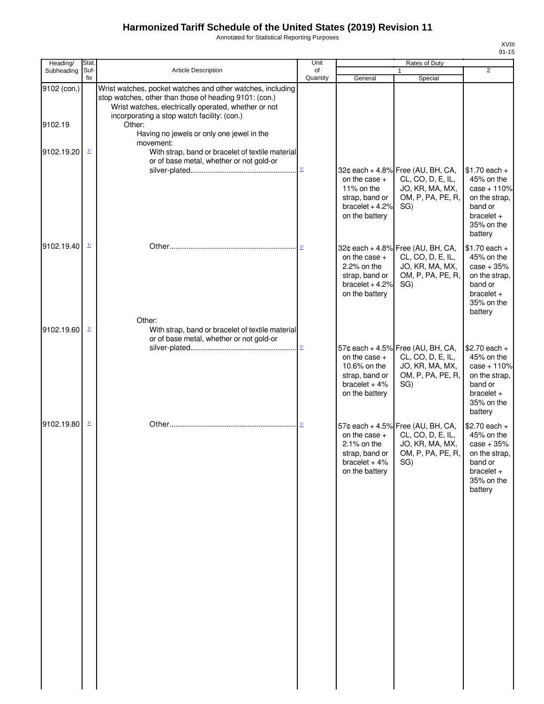Annotated for Statistical Reporting Purposes

| Heading/               | Stat.                    |                                                                                                                                                                                                                                       | Unit                      |                                                                                        | <b>Rates of Duty</b>                                                                                  |                                                                                                                    |
|------------------------|--------------------------|---------------------------------------------------------------------------------------------------------------------------------------------------------------------------------------------------------------------------------------|---------------------------|----------------------------------------------------------------------------------------|-------------------------------------------------------------------------------------------------------|--------------------------------------------------------------------------------------------------------------------|
| Subheading             | Suf-<br>fix              | <b>Article Description</b>                                                                                                                                                                                                            | of<br>Quantity            | General                                                                                | $\mathbf{1}$<br>Special                                                                               | $\overline{2}$                                                                                                     |
| 9102 (con.)<br>9102.19 |                          | Wrist watches, pocket watches and other watches, including<br>stop watches, other than those of heading 9101: (con.)<br>Wrist watches, electrically operated, whether or not<br>incorporating a stop watch facility: (con.)<br>Other: |                           |                                                                                        |                                                                                                       |                                                                                                                    |
| 9102.19.20             | $\frac{1}{2}$            | Having no jewels or only one jewel in the<br>movement:<br>With strap, band or bracelet of textile material                                                                                                                            |                           |                                                                                        |                                                                                                       |                                                                                                                    |
|                        |                          | or of base metal, whether or not gold-or                                                                                                                                                                                              | $\underline{\mathbf{1}l}$ | on the case $+$<br>11% on the<br>strap, band or<br>bracelet $+4.2%$<br>on the battery  | 32¢ each + 4.8% Free (AU, BH, CA,<br>CL, CO, D, E, IL,<br>JO, KR, MA, MX,<br>OM, P, PA, PE, R,<br>SG) | $$1.70$ each +<br>45% on the<br>$case + 110%$<br>on the strap,<br>band or<br>$bracelet +$<br>35% on the<br>battery |
| 9102.19.40             | $\overline{\mathbf{1}l}$ | Other:                                                                                                                                                                                                                                |                           | on the case $+$<br>2.2% on the<br>strap, band or<br>bracelet $+4.2%$<br>on the battery | 32¢ each + 4.8% Free (AU, BH, CA,<br>CL, CO, D, E, IL,<br>JO, KR, MA, MX,<br>OM, P, PA, PE, R,<br>SG) | $$1.70$ each +<br>45% on the<br>$case + 35%$<br>on the strap,<br>band or<br>$bracelet +$<br>35% on the<br>battery  |
| 9102.19.60             | $\mathbf{\underline{1}}$ | With strap, band or bracelet of textile material<br>or of base metal, whether or not gold-or                                                                                                                                          | $\underline{\mathbf{1}l}$ | on the case $+$<br>10.6% on the<br>strap, band or<br>bracelet $+4%$<br>on the battery  | 57¢ each + 4.5% Free (AU, BH, CA,<br>CL, CO, D, E, IL,<br>JO, KR, MA, MX,<br>OM, P, PA, PE, R,<br>SG) | $$2.70$ each +<br>45% on the<br>case + 110%<br>on the strap,<br>band or<br>$bracelet +$<br>35% on the<br>battery   |
| 9102.19.80             | $\frac{1}{2}$            |                                                                                                                                                                                                                                       | $\mathbf{\underline{1}}$  | on the case $+$<br>2.1% on the<br>strap, band or  <br>bracelet $+4%$<br>on the battery | 57¢ each + 4.5% Free (AU, BH, CA,<br>CL, CO, D, E, IL,<br>JO, KR, MA, MX,<br>OM, P, PA, PE, R,<br>SG) | $$2.70$ each +<br>45% on the<br>$case + 35%$<br>on the strap,<br>band or<br>$bracelet +$<br>35% on the<br>battery  |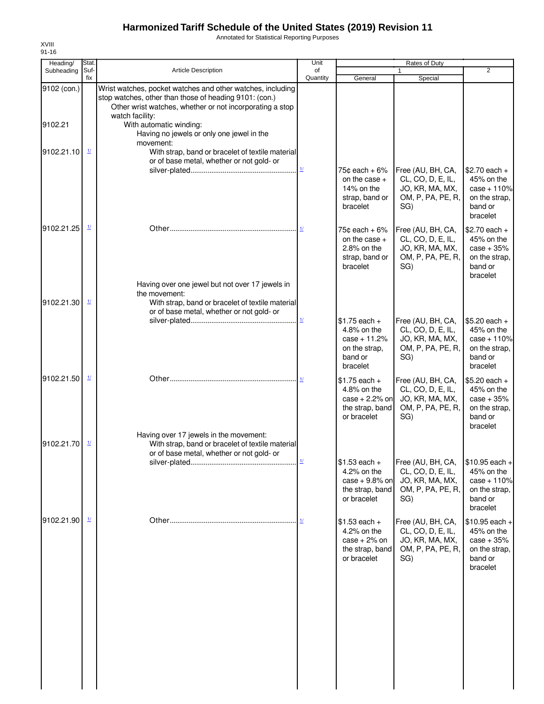Annotated for Statistical Reporting Purposes

| Heading/    | Stat.                    |                                                                                                                                                                                                     | Unit                          |                                                                                         | Rates of Duty                                                                         |                                                                                       |
|-------------|--------------------------|-----------------------------------------------------------------------------------------------------------------------------------------------------------------------------------------------------|-------------------------------|-----------------------------------------------------------------------------------------|---------------------------------------------------------------------------------------|---------------------------------------------------------------------------------------|
| Subheading  | Suf-<br>fix              | Article Description                                                                                                                                                                                 | of<br>Quantity                | General                                                                                 | 1<br>Special                                                                          | $\overline{2}$                                                                        |
| 9102 (con.) |                          | Wrist watches, pocket watches and other watches, including<br>stop watches, other than those of heading 9101: (con.)<br>Other wrist watches, whether or not incorporating a stop<br>watch facility: |                               |                                                                                         |                                                                                       |                                                                                       |
| 9102.21     |                          | With automatic winding:<br>Having no jewels or only one jewel in the<br>movement:                                                                                                                   |                               |                                                                                         |                                                                                       |                                                                                       |
| 9102.21.10  | $\frac{1}{2}$            | With strap, band or bracelet of textile material<br>or of base metal, whether or not gold- or                                                                                                       | $\underline{1} \underline{I}$ | 75 $\texttt{c}$ each + 6%<br>on the case $+$                                            | Free (AU, BH, CA,<br>CL, CO, D, E, IL,                                                | $$2.70$ each +<br>45% on the                                                          |
|             |                          |                                                                                                                                                                                                     |                               | 14% on the<br>strap, band or<br>bracelet                                                | JO, KR, MA, MX,<br>OM, P, PA, PE, R,<br>SG)                                           | $case + 110%$<br>on the strap,<br>band or<br>bracelet                                 |
| 9102.21.25  | $\mathbf{\underline{1}}$ |                                                                                                                                                                                                     | 11                            | $75$ ¢ each + 6%<br>on the case $+$<br>$2.8\%$ on the<br>strap, band or<br>bracelet     | Free (AU, BH, CA,<br>CL, CO, D, E, IL,<br>JO, KR, MA, MX,<br>OM, P, PA, PE, R,<br>SG) | $$2.70$ each +<br>45% on the<br>$case + 35%$<br>on the strap,<br>band or<br>bracelet  |
| 9102.21.30  | $\mathbf{\underline{1}}$ | Having over one jewel but not over 17 jewels in<br>the movement:<br>With strap, band or bracelet of textile material<br>or of base metal, whether or not gold- or                                   |                               |                                                                                         |                                                                                       |                                                                                       |
|             |                          |                                                                                                                                                                                                     | $\underline{\mathbf{1}l}$     | $$1.75$ each +<br>4.8% on the<br>$case + 11.2%$<br>on the strap,<br>band or<br>bracelet | Free (AU, BH, CA,<br>CL, CO, D, E, IL,<br>JO, KR, MA, MX,<br>OM, P, PA, PE, R,<br>SG) | $$5.20$ each +<br>45% on the<br>$case + 110%$<br>on the strap,<br>band or<br>bracelet |
| 9102.21.50  | $\mathbf{\underline{1}}$ |                                                                                                                                                                                                     |                               | $$1.75$ each +<br>4.8% on the<br>$case + 2.2%$ on<br>the strap, band<br>or bracelet     | Free (AU, BH, CA,<br>CL, CO, D, E, IL,<br>JO, KR, MA, MX,<br>OM, P, PA, PE, R,<br>SG) | $$5.20$ each +<br>45% on the<br>$case + 35%$<br>on the strap,<br>band or<br>bracelet  |
| 9102.21.70  | $\frac{1}{2}$            | Having over 17 jewels in the movement:<br>With strap, band or bracelet of textile material<br>or of base metal, whether or not gold- or                                                             |                               | $$1.53$ each +                                                                          | Free (AU, BH, CA,                                                                     | $$10.95$ each +                                                                       |
|             |                          |                                                                                                                                                                                                     |                               | 4.2% on the<br>case $+9.8%$ on<br>the strap, band<br>or bracelet                        | CL, CO, D, E, IL,<br>JO, KR, MA, MX,<br>OM, P, PA, PE, R,<br>SG)                      | 45% on the<br>$case + 110%$<br>on the strap,<br>band or<br>bracelet                   |
| 9102.21.90  | $\mathbf{\underline{1}}$ |                                                                                                                                                                                                     | 11                            | $$1.53$ each +<br>4.2% on the<br>$case + 2%$ on<br>the strap, band<br>or bracelet       | Free (AU, BH, CA,<br>CL, CO, D, E, IL,<br>JO, KR, MA, MX,<br>OM, P, PA, PE, R,<br>SG) | $$10.95$ each +<br>45% on the<br>$case + 35%$<br>on the strap.<br>band or<br>bracelet |
|             |                          |                                                                                                                                                                                                     |                               |                                                                                         |                                                                                       |                                                                                       |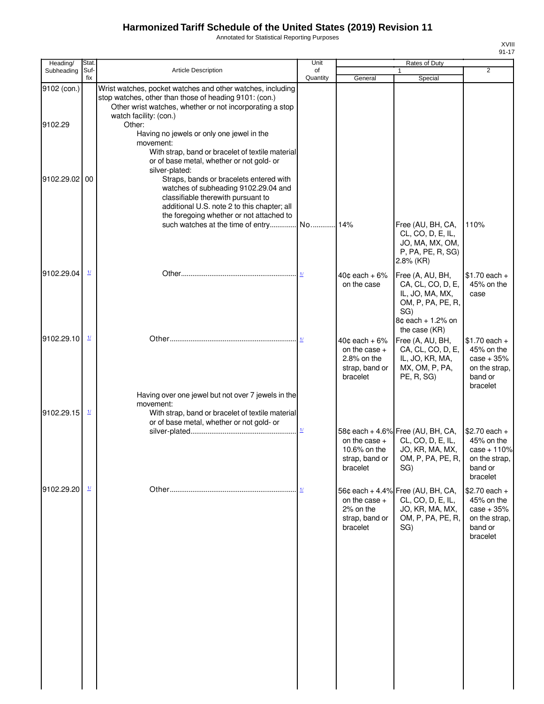Annotated for Statistical Reporting Purposes

| Heading/    | Stat.                    |                                                                                                                                                                                                                  | Unit                               |                                                                                       | Rates of Duty                                                                                             |                                                                                       |
|-------------|--------------------------|------------------------------------------------------------------------------------------------------------------------------------------------------------------------------------------------------------------|------------------------------------|---------------------------------------------------------------------------------------|-----------------------------------------------------------------------------------------------------------|---------------------------------------------------------------------------------------|
| Subheading  | Suf-<br>fix              | <b>Article Description</b>                                                                                                                                                                                       | of<br>Quantity                     | General                                                                               | 1<br>Special                                                                                              | $\overline{2}$                                                                        |
| 9102 (con.) |                          | Wrist watches, pocket watches and other watches, including<br>stop watches, other than those of heading 9101: (con.)<br>Other wrist watches, whether or not incorporating a stop                                 |                                    |                                                                                       |                                                                                                           |                                                                                       |
| 9102.29     |                          | watch facility: (con.)<br>Other:<br>Having no jewels or only one jewel in the                                                                                                                                    |                                    |                                                                                       |                                                                                                           |                                                                                       |
|             |                          | movement:<br>With strap, band or bracelet of textile material<br>or of base metal, whether or not gold- or<br>silver-plated:                                                                                     |                                    |                                                                                       |                                                                                                           |                                                                                       |
| 9102.29.02  | 00                       | Straps, bands or bracelets entered with<br>watches of subheading 9102.29.04 and<br>classifiable therewith pursuant to<br>additional U.S. note 2 to this chapter; all<br>the foregoing whether or not attached to |                                    |                                                                                       |                                                                                                           |                                                                                       |
|             |                          | such watches at the time of entry No 14%                                                                                                                                                                         |                                    |                                                                                       | Free (AU, BH, CA,<br>CL, CO, D, E, IL,<br>JO, MA, MX, OM,<br>P, PA, PE, R, SG)<br>$2.8\%$ (KR)            | 110%                                                                                  |
| 9102.29.04  | $\frac{1}{2}$            |                                                                                                                                                                                                                  | 1/                                 | $40¢$ each + 6%<br>on the case                                                        | Free (A, AU, BH,<br>CA, CL, CO, D, E,<br>IL, JO, MA, MX,<br>OM, P, PA, PE, R,<br>SG)<br>8¢ each + 1.2% on | $$1.70$ each +<br>45% on the<br>case                                                  |
| 9102.29.10  | $\mathbf{\underline{1}}$ |                                                                                                                                                                                                                  | 1/                                 | $40¢$ each + $6\%$<br>on the case $+$<br>$2.8\%$ on the<br>strap, band or<br>bracelet | the case (KR)<br>Free (A, AU, BH,<br>CA, CL, CO, D, E,<br>IL, JO, KR, MA,<br>MX, OM, P, PA,<br>PE, R, SG) | $$1.70$ each +<br>45% on the<br>$case + 35%$<br>on the strap,<br>band or<br>bracelet  |
| 9102.29.15  | $\mathbf{\underline{1}}$ | Having over one jewel but not over 7 jewels in the<br>movement:<br>With strap, band or bracelet of textile material<br>or of base metal, whether or not gold- or                                                 |                                    |                                                                                       |                                                                                                           |                                                                                       |
|             |                          |                                                                                                                                                                                                                  | $\underline{\mathbf{1}\mathbf{1}}$ | on the case $+$<br>10.6% on the<br>strap, band or<br>bracelet                         | 58¢ each + 4.6% Free (AU, BH, CA,<br>CL, CO, D, E, IL,<br>JO, KR, MA, MX,<br>OM, P, PA, PE, R,<br>SG)     | $$2.70$ each +<br>45% on the<br>$case + 110%$<br>on the strap,<br>band or<br>bracelet |
| 9102.29.20  | $\mathbf{\underline{1}}$ |                                                                                                                                                                                                                  | 1/                                 | on the case $+$<br>2% on the<br>strap, band or<br>bracelet                            | 56¢ each + 4.4% Free (AU, BH, CA,<br>CL, CO, D, E, IL,<br>JO, KR, MA, MX,<br>OM, P, PA, PE, R,<br>SG)     | \$2.70 each +<br>45% on the<br>$case + 35%$<br>on the strap,<br>band or<br>bracelet   |
|             |                          |                                                                                                                                                                                                                  |                                    |                                                                                       |                                                                                                           |                                                                                       |
|             |                          |                                                                                                                                                                                                                  |                                    |                                                                                       |                                                                                                           |                                                                                       |
|             |                          |                                                                                                                                                                                                                  |                                    |                                                                                       |                                                                                                           |                                                                                       |
|             |                          |                                                                                                                                                                                                                  |                                    |                                                                                       |                                                                                                           |                                                                                       |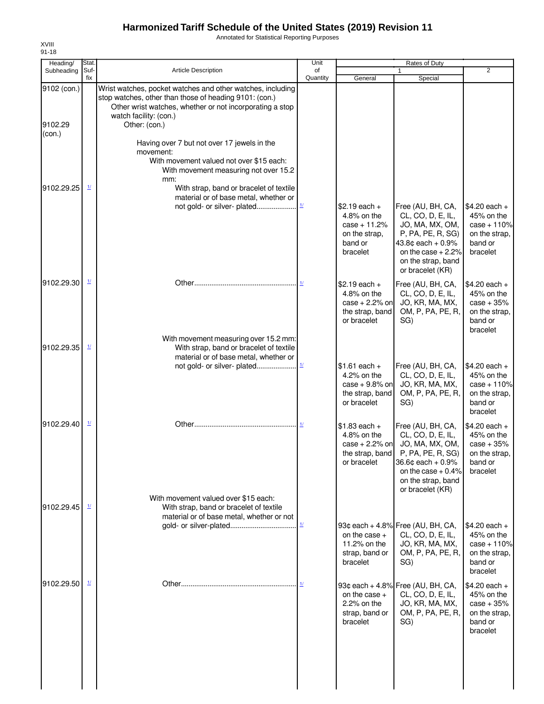Annotated for Statistical Reporting Purposes

| Heading/                         | Stat.                    |                                                                                                                                                                                                                             | Unit                                  |                                                                                         | <b>Rates of Duty</b>                                                                                                                                                    |                                                                                       |
|----------------------------------|--------------------------|-----------------------------------------------------------------------------------------------------------------------------------------------------------------------------------------------------------------------------|---------------------------------------|-----------------------------------------------------------------------------------------|-------------------------------------------------------------------------------------------------------------------------------------------------------------------------|---------------------------------------------------------------------------------------|
| Subheading                       | Suf-<br>fix              | <b>Article Description</b>                                                                                                                                                                                                  | of<br>Quantity                        | General                                                                                 | $\mathbf{1}$<br>Special                                                                                                                                                 | $\overline{2}$                                                                        |
| 9102 (con.)<br>9102.29<br>(con.) |                          | Wrist watches, pocket watches and other watches, including<br>stop watches, other than those of heading 9101: (con.)<br>Other wrist watches, whether or not incorporating a stop<br>watch facility: (con.)<br>Other: (con.) |                                       |                                                                                         |                                                                                                                                                                         |                                                                                       |
|                                  |                          | Having over 7 but not over 17 jewels in the<br>movement:<br>With movement valued not over \$15 each:<br>With movement measuring not over 15.2<br>mm:                                                                        |                                       |                                                                                         |                                                                                                                                                                         |                                                                                       |
| 9102.29.25                       | $\frac{1}{2}$            | With strap, band or bracelet of textile<br>material or of base metal, whether or<br>not gold- or silver- plated                                                                                                             | $\underline{\mathbf{1}\mathbf{\ell}}$ | $$2.19$ each +<br>4.8% on the<br>$case + 11.2%$<br>on the strap,<br>band or<br>bracelet | Free (AU, BH, CA,<br>CL, CO, D, E, IL,<br>JO, MA, MX, OM,<br>P, PA, PE, R, SG)<br>43.8 $¢$ each + 0.9%<br>on the case $+2.2%$<br>on the strap, band<br>or bracelet (KR) | $$4.20$ each +<br>45% on the<br>$case + 110%$<br>on the strap,<br>band or<br>bracelet |
| 9102.29.30                       | $\mathbf{\underline{1}}$ |                                                                                                                                                                                                                             |                                       | $$2.19$ each +<br>$4.8\%$ on the<br>case $+2.2%$ on<br>the strap, band<br>or bracelet   | Free (AU, BH, CA,<br>CL, CO, D, E, IL,<br>JO, KR, MA, MX,<br>OM, P, PA, PE, R,<br>SG)                                                                                   | $$4.20$ each +<br>45% on the<br>$case + 35%$<br>on the strap,<br>band or<br>bracelet  |
| 9102.29.35                       | $\mathbf{\underline{1}}$ | With movement measuring over 15.2 mm:<br>With strap, band or bracelet of textile<br>material or of base metal, whether or<br>not gold- or silver- plated                                                                    | $1/$                                  | $$1.61$ each +<br>4.2% on the<br>$case + 9.8\%$ on                                      | Free (AU, BH, CA,<br>CL, CO, D, E, IL,<br>JO, KR, MA, MX,                                                                                                               | $$4.20$ each +<br>45% on the<br>$case + 110%$                                         |
|                                  |                          |                                                                                                                                                                                                                             |                                       | the strap, band<br>or bracelet                                                          | OM, P, PA, PE, R,<br>SG)                                                                                                                                                | on the strap,<br>band or<br>bracelet                                                  |
| 9102.29.40                       | $\mathbf{\underline{1}}$ |                                                                                                                                                                                                                             |                                       | $$1.83$ each +<br>4.8% on the<br>$case + 2.2%$ on<br>the strap, band<br>or bracelet     | Free (AU, BH, CA,<br>CL, CO, D, E, IL,<br>JO, MA, MX, OM,<br>P, PA, PE, R, SG)<br>36.6¢ each + 0.9%<br>on the case $+0.4%$<br>on the strap, band<br>or bracelet (KR)    | $$4.20$ each +<br>45% on the<br>$case + 35%$<br>on the strap.<br>band or<br>bracelet  |
| 9102.29.45                       | 1/                       | With movement valued over \$15 each:<br>With strap, band or bracelet of textile<br>material or of base metal, whether or not                                                                                                |                                       |                                                                                         |                                                                                                                                                                         |                                                                                       |
|                                  |                          |                                                                                                                                                                                                                             | $\underline{\mathbf{1}\mathbf{1}}$    | on the case $+$<br>11.2% on the<br>strap, band or<br>bracelet                           | 93¢ each + 4.8% Free (AU, BH, CA,<br>CL, CO, D, E, IL,<br>JO, KR, MA, MX,<br>OM, P, PA, PE, R,<br>SG)                                                                   | $$4.20$ each +<br>45% on the<br>$case + 110%$<br>on the strap,<br>band or<br>bracelet |
| 9102.29.50                       |                          |                                                                                                                                                                                                                             |                                       | on the case $+$<br>$2.2%$ on the<br>strap, band or<br>bracelet                          | 93¢ each + 4.8% Free (AU, BH, CA,<br>CL, CO, D, E, IL,<br>JO, KR, MA, MX,<br>OM, P, PA, PE, R,<br>SG)                                                                   | $$4.20$ each +<br>45% on the<br>$case + 35%$<br>on the strap,<br>band or<br>bracelet  |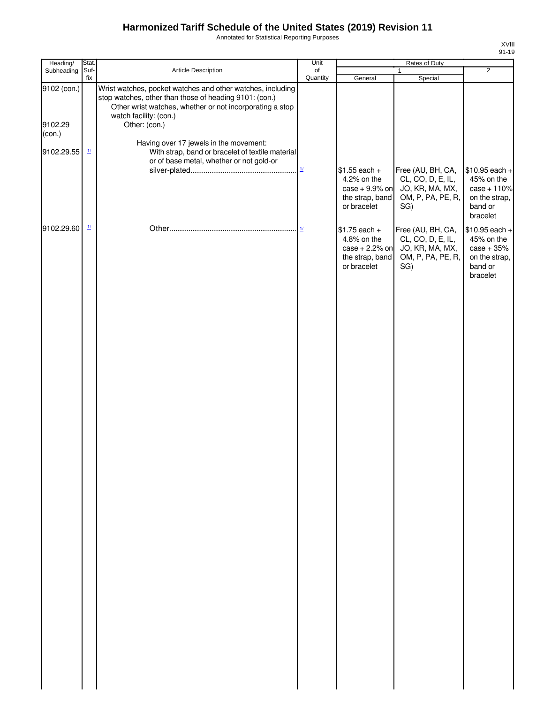Annotated for Statistical Reporting Purposes

| Heading/                         | Stat.                    |                                                                                                                                                                                                                             | Unit                  |                                                                                     | Rates of Duty                                                                         |                                                                                        |
|----------------------------------|--------------------------|-----------------------------------------------------------------------------------------------------------------------------------------------------------------------------------------------------------------------------|-----------------------|-------------------------------------------------------------------------------------|---------------------------------------------------------------------------------------|----------------------------------------------------------------------------------------|
| Subheading                       | Suf-<br>fix              | Article Description                                                                                                                                                                                                         | $\circ$ f<br>Quantity | General                                                                             | $\mathbf{1}$<br>Special                                                               | $\overline{2}$                                                                         |
| 9102 (con.)<br>9102.29<br>(con.) |                          | Wrist watches, pocket watches and other watches, including<br>stop watches, other than those of heading 9101: (con.)<br>Other wrist watches, whether or not incorporating a stop<br>watch facility: (con.)<br>Other: (con.) |                       |                                                                                     |                                                                                       |                                                                                        |
| 9102.29.55                       | $\frac{1}{2}$            | Having over 17 jewels in the movement:<br>With strap, band or bracelet of textile material                                                                                                                                  |                       |                                                                                     |                                                                                       |                                                                                        |
|                                  |                          | or of base metal, whether or not gold-or                                                                                                                                                                                    |                       | $$1.55$ each +<br>4.2% on the<br>$case + 9.9%$ on<br>the strap, band<br>or bracelet | Free (AU, BH, CA,<br>CL, CO, D, E, IL,<br>JO, KR, MA, MX,<br>OM, P, PA, PE, R,<br>SG) | $$10.95$ each +<br>45% on the<br>$case + 110%$<br>on the strap,<br>band or<br>bracelet |
| 9102.29.60                       | $\mathbf{\underline{1}}$ |                                                                                                                                                                                                                             |                       | $$1.75$ each +<br>4.8% on the<br>$case + 2.2%$ on<br>the strap, band<br>or bracelet | Free (AU, BH, CA,<br>CL, CO, D, E, IL,<br>JO, KR, MA, MX,<br>OM, P, PA, PE, R,<br>SG) | $$10.95$ each +<br>45% on the<br>$case + 35%$<br>on the strap,<br>band or<br>bracelet  |
|                                  |                          |                                                                                                                                                                                                                             |                       |                                                                                     |                                                                                       |                                                                                        |
|                                  |                          |                                                                                                                                                                                                                             |                       |                                                                                     |                                                                                       |                                                                                        |
|                                  |                          |                                                                                                                                                                                                                             |                       |                                                                                     |                                                                                       |                                                                                        |
|                                  |                          |                                                                                                                                                                                                                             |                       |                                                                                     |                                                                                       |                                                                                        |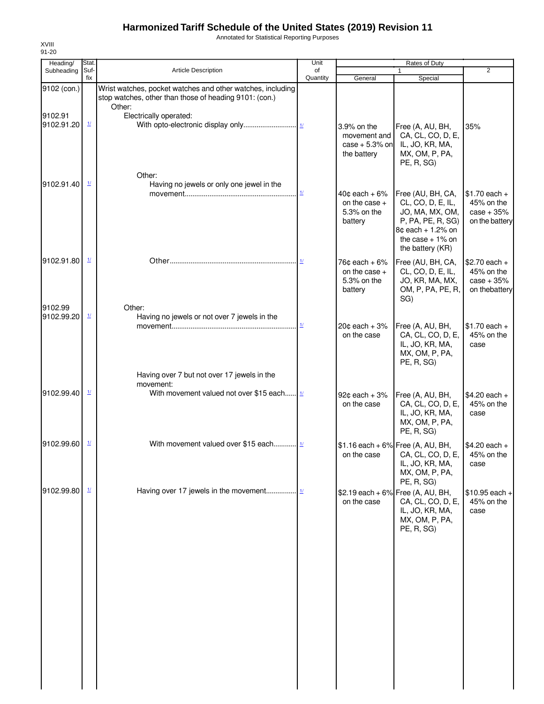Annotated for Statistical Reporting Purposes

| Suf-<br>Article Description<br>Subheading<br>of<br>$\mathbf{1}$<br>fix<br>Quantity<br>General<br>Special<br>Wrist watches, pocket watches and other watches, including<br>9102 (con.)<br>stop watches, other than those of heading 9101: (con.)<br>Other:<br>9102.91<br>Electrically operated:<br>$\mathbf{\underline{1}}$<br>9102.91.20<br>3.9% on the<br>Free (A, AU, BH,<br>CA, CL, CO, D, E,<br>movement and<br>case $+5.3\%$ on<br>IL, JO, KR, MA,<br>the battery<br>MX, OM, P, PA,<br>PE, R, SG)<br>Other:<br>$\mathbf{\underline{1}}$<br>9102.91.40<br>Having no jewels or only one jewel in the<br>$\underline{\mathbf{1}\mathbf{1}}$<br>$40¢$ each + 6%<br>Free (AU, BH, CA,<br>CL, CO, D, E, IL,<br>on the case $+$<br>5.3% on the<br>JO, MA, MX, OM,<br>battery<br>P, PA, PE, R, SG)<br>8¢ each + 1.2% on<br>the case $+1\%$ on<br>the battery (KR)<br>9102.91.80<br>$\mathbf{\underline{1}}$<br>$76¢$ each + $6\%$<br>Free (AU, BH, CA,<br>CL, CO, D, E, IL,<br>on the case $+$<br>5.3% on the<br>JO, KR, MA, MX,<br>OM, P, PA, PE, R,<br>battery<br>SG)<br>9102.99<br>Other:<br>$\mathbf{\underline{1}}$<br>9102.99.20<br>Having no jewels or not over 7 jewels in the<br>$\mathbf{\underline{1}}$<br>$20¢$ each + $3%$<br>Free (A, AU, BH, | $\overline{2}$<br>35%                                          |
|----------------------------------------------------------------------------------------------------------------------------------------------------------------------------------------------------------------------------------------------------------------------------------------------------------------------------------------------------------------------------------------------------------------------------------------------------------------------------------------------------------------------------------------------------------------------------------------------------------------------------------------------------------------------------------------------------------------------------------------------------------------------------------------------------------------------------------------------------------------------------------------------------------------------------------------------------------------------------------------------------------------------------------------------------------------------------------------------------------------------------------------------------------------------------------------------------------------------------------------------------------|----------------------------------------------------------------|
|                                                                                                                                                                                                                                                                                                                                                                                                                                                                                                                                                                                                                                                                                                                                                                                                                                                                                                                                                                                                                                                                                                                                                                                                                                                          |                                                                |
|                                                                                                                                                                                                                                                                                                                                                                                                                                                                                                                                                                                                                                                                                                                                                                                                                                                                                                                                                                                                                                                                                                                                                                                                                                                          |                                                                |
|                                                                                                                                                                                                                                                                                                                                                                                                                                                                                                                                                                                                                                                                                                                                                                                                                                                                                                                                                                                                                                                                                                                                                                                                                                                          |                                                                |
|                                                                                                                                                                                                                                                                                                                                                                                                                                                                                                                                                                                                                                                                                                                                                                                                                                                                                                                                                                                                                                                                                                                                                                                                                                                          | $$1.70$ each +<br>45% on the<br>$case + 35%$<br>on the battery |
|                                                                                                                                                                                                                                                                                                                                                                                                                                                                                                                                                                                                                                                                                                                                                                                                                                                                                                                                                                                                                                                                                                                                                                                                                                                          | $$2.70$ each +<br>45% on the<br>$case + 35%$<br>on thebattery  |
| on the case<br>CA, CL, CO, D, E,<br>IL, JO, KR, MA,<br>MX, OM, P, PA,<br>PE, R, SG)                                                                                                                                                                                                                                                                                                                                                                                                                                                                                                                                                                                                                                                                                                                                                                                                                                                                                                                                                                                                                                                                                                                                                                      | $$1.70$ each +<br>45% on the<br>case                           |
| Having over 7 but not over 17 jewels in the<br>movement:<br>$\mathbf{\underline{1}}$<br>With movement valued not over \$15 each<br>9102.99.40<br>92¢ each + 3%<br>Free (A, AU, BH,<br>on the case<br>CA, CL, CO, D, E,<br>IL, JO, KR, MA,<br>MX, OM, P, PA,<br>PE, R, SG)                                                                                                                                                                                                                                                                                                                                                                                                                                                                                                                                                                                                                                                                                                                                                                                                                                                                                                                                                                                | $$4.20$ each +<br>45% on the<br>case                           |
| $\mathbf{\underline{1}\underline{1}}$<br>With movement valued over \$15 each 1/<br>9102.99.60<br>$$1.16$ each + 6% Free (A, AU, BH,<br>on the case CA, CL, CO, D, E,<br>IL, JO, KR, MA,<br>MX, OM, P, PA,<br>PE, R, SG)                                                                                                                                                                                                                                                                                                                                                                                                                                                                                                                                                                                                                                                                                                                                                                                                                                                                                                                                                                                                                                  | $$4.20$ each +<br>45% on the<br>case                           |
| $\frac{1}{2}$<br>9102.99.80<br>\$2.19 each + 6% Free (A, AU, BH,<br>CA, CL, CO, D, E,<br>on the case<br>IL, JO, KR, MA,<br>MX, OM, P, PA,<br>PE, R, SG)                                                                                                                                                                                                                                                                                                                                                                                                                                                                                                                                                                                                                                                                                                                                                                                                                                                                                                                                                                                                                                                                                                  | $$10.95$ each +<br>45% on the<br>case                          |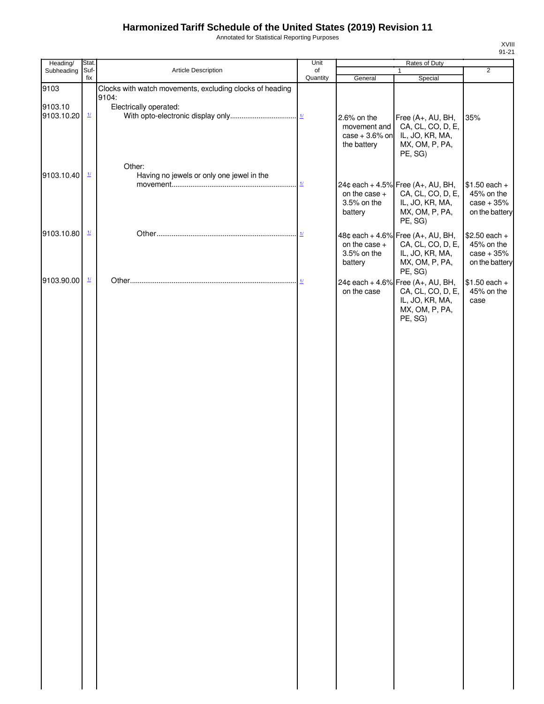Annotated for Statistical Reporting Purposes

| Heading/              | Stat.                     |                                                          | Unit                      |                                                                 | Rates of Duty                                                                                                     |                                                                |
|-----------------------|---------------------------|----------------------------------------------------------|---------------------------|-----------------------------------------------------------------|-------------------------------------------------------------------------------------------------------------------|----------------------------------------------------------------|
| Subheading            | Suf-<br>fix               | Article Description                                      | of<br>Quantity            | General                                                         | $\mathbf{1}$<br>Special                                                                                           | $\overline{2}$                                                 |
| 9103                  |                           | Clocks with watch movements, excluding clocks of heading |                           |                                                                 |                                                                                                                   |                                                                |
| 9103.10<br>9103.10.20 | $\underline{\mathbf{1}l}$ | 9104:<br>Electrically operated:                          |                           | 2.6% on the<br>movement and<br>$case + 3.6\%$ on<br>the battery | Free (A+, AU, BH,<br>CA, CL, CO, D, E,<br>IL, JO, KR, MA,<br>MX, OM, P, PA,                                       | 35%                                                            |
| 9103.10.40            | $\mathbf{\underline{1}}$  | Other:<br>Having no jewels or only one jewel in the      | $\underline{\mathbf{1}I}$ | on the case +<br>3.5% on the<br>battery                         | PE, SG)<br>24¢ each + 4.5% Free (A+, AU, BH,<br>CA, CL, CO, D, E,<br>IL, JO, KR, MA,<br>MX, OM, P, PA,            | $$1.50$ each +<br>45% on the<br>$case + 35%$<br>on the battery |
| 9103.10.80            | $\mathbf{\underline{1}}$  |                                                          |                           | on the case +<br>3.5% on the<br>battery                         | PE, SG)<br>48¢ each + 4.6% Free (A+, AU, BH,<br>CA, CL, CO, D, E,<br>IL, JO, KR, MA,<br>MX, OM, P, PA,<br>PE, SG) | $$2.50$ each +<br>45% on the<br>$case + 35%$<br>on the battery |
| 9103.90.00            | $\frac{1}{2}$             |                                                          |                           | on the case                                                     | 24¢ each + 4.6% Free (A+, AU, BH,<br>CA, CL, CO, D, E,<br>IL, JO, KR, MA,<br>MX, OM, P, PA,<br>PE, SG)            | $$1.50$ each +<br>45% on the<br>case                           |
|                       |                           |                                                          |                           |                                                                 |                                                                                                                   |                                                                |
|                       |                           |                                                          |                           |                                                                 |                                                                                                                   |                                                                |
|                       |                           |                                                          |                           |                                                                 |                                                                                                                   |                                                                |
|                       |                           |                                                          |                           |                                                                 |                                                                                                                   |                                                                |
|                       |                           |                                                          |                           |                                                                 |                                                                                                                   |                                                                |
|                       |                           |                                                          |                           |                                                                 |                                                                                                                   |                                                                |
|                       |                           |                                                          |                           |                                                                 |                                                                                                                   |                                                                |
|                       |                           |                                                          |                           |                                                                 |                                                                                                                   |                                                                |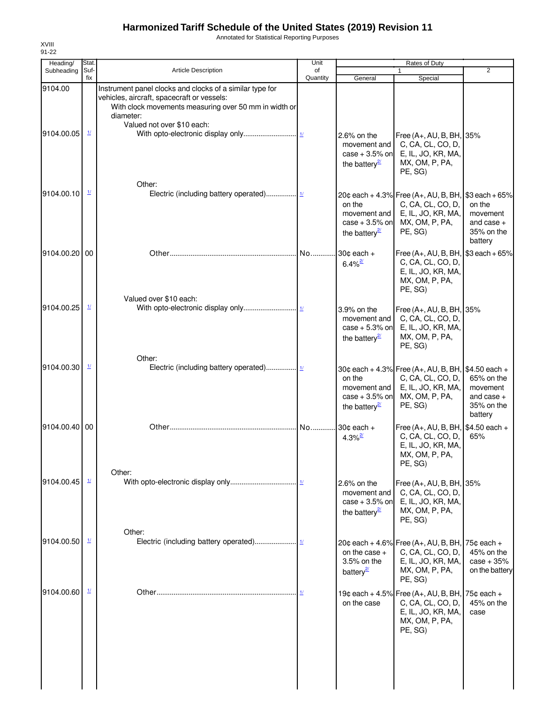Annotated for Statistical Reporting Purposes

| Heading/              | Stat.                    |                                                                                                                                                                                                            | Unit           |                                                                                | Rates of Duty                                                                                                               |                                                                 |
|-----------------------|--------------------------|------------------------------------------------------------------------------------------------------------------------------------------------------------------------------------------------------------|----------------|--------------------------------------------------------------------------------|-----------------------------------------------------------------------------------------------------------------------------|-----------------------------------------------------------------|
| Subheading            | Suf-<br>fix              | <b>Article Description</b>                                                                                                                                                                                 | of<br>Quantity | General                                                                        | $\mathbf{1}$<br>Special                                                                                                     | $\overline{2}$                                                  |
| 9104.00<br>9104.00.05 | $\overline{\mathbf{1}l}$ | Instrument panel clocks and clocks of a similar type for<br>vehicles, aircraft, spacecraft or vessels:<br>With clock movements measuring over 50 mm in width or<br>diameter:<br>Valued not over \$10 each: |                | 2.6% on the<br>movement and<br>case $+3.5%$ on<br>the battery $\frac{27}{2}$   | Free (A+, AU, B, BH, 35%<br>C, CA, CL, CO, D,<br>E, IL, JO, KR, MA,<br>MX, OM, P, PA,<br>PE, SG)                            |                                                                 |
| 9104.00.10            | $\mathbf{\underline{1}}$ | Other:                                                                                                                                                                                                     |                | on the<br>movement and<br>case $+3.5%$ on<br>the battery $\frac{2}{3}$         | 20¢ each + 4.3% Free (A+, AU, B, BH, \$3 each + 65%<br>C, CA, CL, CO, D,<br>E, IL, JO, KR, MA,<br>MX, OM, P, PA,<br>PE, SG) | on the<br>movement<br>and case $+$<br>35% on the<br>battery     |
| 9104.00.20 00         |                          |                                                                                                                                                                                                            | No             | $30¢$ each $+$<br>$6.4\%$ <sup>2/</sup>                                        | Free (A+, AU, B, BH, \$3 each + 65%<br>C, CA, CL, CO, D,<br>E, IL, JO, KR, MA,<br>MX, OM, P, PA,<br>PE, SG)                 |                                                                 |
| 9104.00.25            | $\mathbf{\underline{1}}$ | Valued over \$10 each:                                                                                                                                                                                     |                | 3.9% on the<br>movement and<br>case $+5.3\%$ on<br>the battery $\frac{2}{3}$   | Free (A+, AU, B, BH, 35%<br>C, CA, CL, CO, D,<br>E, IL, JO, KR, MA,<br>MX, OM, P, PA,<br>PE, SG)                            |                                                                 |
| 9104.00.30            | $\mathbf{\underline{1}}$ | Other:                                                                                                                                                                                                     |                | on the<br>movement and<br>$case + 3.5%$ on<br>the battery $\frac{2}{3}$        | 30¢ each + 4.3% Free (A+, AU, B, BH, \$4.50 each +<br>C, CA, CL, CO, D,<br>E, IL, JO, KR, MA,<br>MX, OM, P, PA,<br>PE, SG)  | 65% on the<br>movement<br>and case $+$<br>35% on the<br>battery |
| 9104.00.40 00         |                          |                                                                                                                                                                                                            | No             | 30 $\texttt{c}$ each +<br>4.3% $\frac{27}{2}$                                  | Free (A+, AU, B, BH, \$4.50 each +<br>C, CA, CL, CO, D,<br>E, IL, JO, KR, MA,<br>MX, OM, P, PA,<br>PE, SG)                  | 65%                                                             |
| 9104.00.45            | $\frac{1}{2}$            | Other:                                                                                                                                                                                                     |                | $2.6\%$ on the<br>movement and<br>case $+3.5%$ on<br>the battery $\frac{2}{3}$ | Free (A+, AU, B, BH, 35%<br>C, CA, CL, CO, D,<br>E, IL, JO, KR, MA,<br>MX, OM, P, PA,<br>PE, SG)                            |                                                                 |
| 9104.00.50            | $\mathbf{\underline{1}}$ | Other:                                                                                                                                                                                                     |                | on the case $+$<br>3.5% on the<br>battery <sup>21</sup>                        | 20¢ each + 4.6% Free (A+, AU, B, BH,<br>C, CA, CL, CO, D,<br>E, IL, JO, KR, MA,<br>MX, OM, P, PA,<br>PE, SG)                | $75¢$ each $+$<br>45% on the<br>$case + 35%$<br>on the battery  |
| 9104.00.60            | $\frac{1}{2}$            |                                                                                                                                                                                                            |                | on the case                                                                    | 19¢ each + 4.5% Free (A+, AU, B, BH,<br>C, CA, CL, CO, D,<br>E, IL, JO, KR, MA,<br>MX, OM, P, PA,<br>PE, SG)                | $75¢$ each $+$<br>45% on the<br>case                            |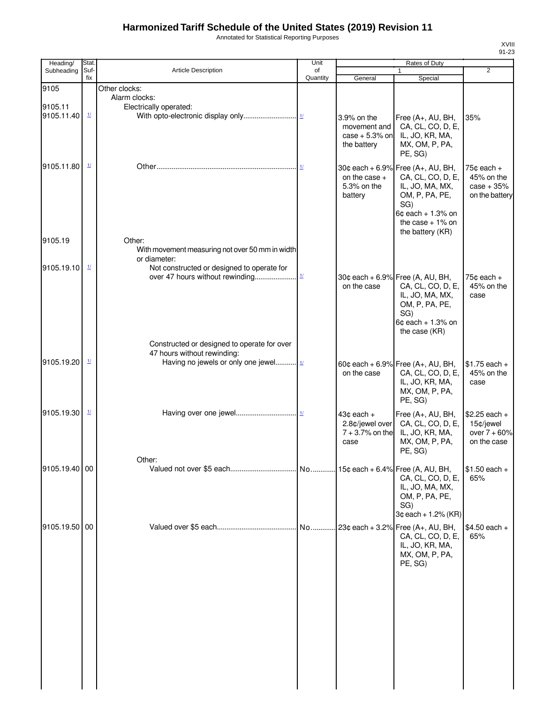Annotated for Statistical Reporting Purposes

| Heading/                      | Stat.                                                      |                                                                                                                                                            | Unit                      |                                                                 | Rates of Duty                                                                                                                                                         |                                                              |
|-------------------------------|------------------------------------------------------------|------------------------------------------------------------------------------------------------------------------------------------------------------------|---------------------------|-----------------------------------------------------------------|-----------------------------------------------------------------------------------------------------------------------------------------------------------------------|--------------------------------------------------------------|
| Subheading                    | Suf-<br>fix                                                | Article Description                                                                                                                                        | of<br>Quantity            | General                                                         | Special                                                                                                                                                               | $\overline{2}$                                               |
| 9105<br>9105.11<br>9105.11.40 | $\frac{1}{2}$                                              | Other clocks:<br>Alarm clocks:<br>Electrically operated:                                                                                                   |                           | 3.9% on the<br>movement and<br>$case + 5.3\%$ on<br>the battery | Free (A+, AU, BH,<br>CA, CL, CO, D, E,<br>IL, JO, KR, MA,<br>MX, OM, P, PA,<br>PE, SG)                                                                                | 35%                                                          |
| 9105.11.80                    | $\frac{1}{2}$                                              |                                                                                                                                                            |                           | on the case $+$<br>5.3% on the<br>battery                       | 30¢ each + 6.9% Free $(A+, AU, BH,$<br>CA, CL, CO, D, E,<br>IL, JO, MA, MX,<br>OM, P, PA, PE,<br>SG)<br>$6¢$ each + 1.3% on<br>the case $+1\%$ on<br>the battery (KR) | $75¢$ each +<br>45% on the<br>$case + 35%$<br>on the battery |
| 9105.19<br>9105.19.10         | $\mathbf{\underline{1}\underline{\mathbf{\underline{1}}}}$ | Other:<br>With movement measuring not over 50 mm in width<br>or diameter:<br>Not constructed or designed to operate for<br>over 47 hours without rewinding | $\underline{\mathbf{1}l}$ | on the case                                                     | 30¢ each + 6.9% Free (A, AU, BH,<br>CA, CL, CO, D, E,<br>IL, JO, MA, MX,<br>OM, P, PA, PE,<br>SG)<br>$6¢$ each + 1.3% on<br>the case (KR)                             | 75 $¢$ each $+$<br>45% on the<br>case                        |
| 9105.19.20                    | $\mathbf{\underline{1}\underline{1}}$                      | Constructed or designed to operate for over<br>47 hours without rewinding:<br>Having no jewels or only one jewel 11                                        |                           | on the case                                                     | 60¢ each + 6.9% Free (A+, AU, BH,<br>CA, CL, CO, D, E,<br>IL, JO, KR, MA,<br>MX, OM, P, PA,<br>PE, SG)                                                                | $$1.75$ each +<br>45% on the<br>case                         |
| 9105.19.30                    | $\frac{1}{2}$                                              |                                                                                                                                                            |                           | $43¢$ each $+$<br>2.8¢/jewel over<br>$7 + 3.7%$ on the<br>case  | Free (A+, AU, BH,<br>CA, CL, CO, D, E,<br>IL, JO, KR, MA,<br>MX, OM, P, PA,<br>PE, SG)                                                                                | $$2.25$ each +<br>15¢/jewel<br>over $7 + 60%$<br>on the case |
| 9105.19.40 00                 |                                                            | Other:                                                                                                                                                     |                           |                                                                 | CA, CL, CO, D, E,<br>IL, JO, MA, MX,<br>OM, P, PA, PE,<br>SG)<br>$3¢$ each + 1.2% (KR)                                                                                | $$1.50$ each +<br>65%                                        |
| 9105.19.50 00                 |                                                            |                                                                                                                                                            |                           |                                                                 | CA, CL, CO, D, E,<br>IL, JO, KR, MA,<br>MX, OM, P, PA,<br>PE, SG)                                                                                                     | \$4.50 each +<br>65%                                         |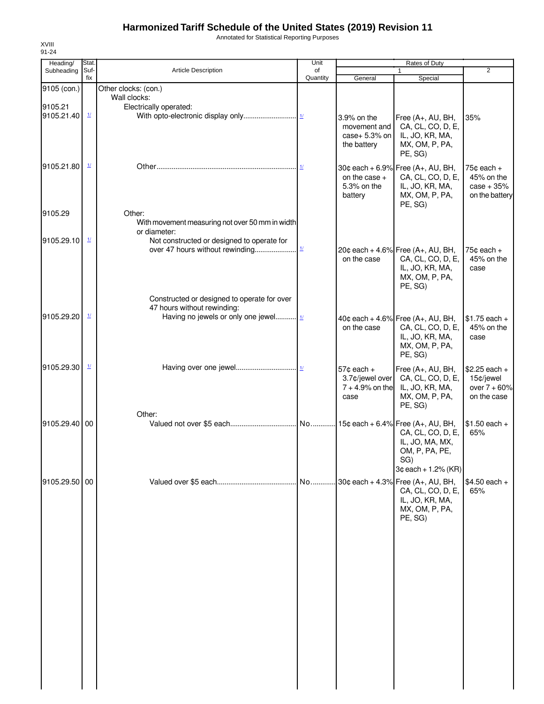Annotated for Statistical Reporting Purposes

| Heading/              | Stat.                    |                                                                                                                     | Unit           |                                                              | Rates of Duty                                                                                                                  |                                                                |
|-----------------------|--------------------------|---------------------------------------------------------------------------------------------------------------------|----------------|--------------------------------------------------------------|--------------------------------------------------------------------------------------------------------------------------------|----------------------------------------------------------------|
| Subheading            | Suf-<br>fix              | <b>Article Description</b>                                                                                          | of<br>Quantity | General                                                      | $\mathbf{1}$<br>Special                                                                                                        | $\overline{2}$                                                 |
| 9105 (con.)           |                          | Other clocks: (con.)                                                                                                |                |                                                              |                                                                                                                                |                                                                |
|                       |                          | Wall clocks:                                                                                                        |                |                                                              |                                                                                                                                |                                                                |
| 9105.21<br>9105.21.40 | $\mathbf{\underline{1}}$ | Electrically operated:                                                                                              |                | 3.9% on the<br>movement and<br>case+ 5.3% on<br>the battery  | Free (A+, AU, BH,<br>CA, CL, CO, D, E,<br>IL, JO, KR, MA,<br>MX, OM, P, PA,<br>PE, SG)                                         | 35%                                                            |
| 9105.21.80            | $\mathbf{\underline{1}}$ |                                                                                                                     |                | on the case $+$<br>5.3% on the<br>battery                    | 30¢ each + 6.9% Free (A+, AU, BH,<br>CA, CL, CO, D, E,<br>IL, JO, KR, MA,<br>MX, OM, P, PA,<br>PE, SG)                         | $75¢$ each $+$<br>45% on the<br>$case + 35%$<br>on the battery |
| 9105.29               |                          | Other:                                                                                                              |                |                                                              |                                                                                                                                |                                                                |
| 9105.29.10            | $\frac{1}{2}$            | With movement measuring not over 50 mm in width<br>or diameter:<br>Not constructed or designed to operate for       |                |                                                              | 20¢ each + 4.6% Free $(A_{+}, AU, BH,$                                                                                         | $75¢$ each +                                                   |
|                       |                          |                                                                                                                     |                | on the case                                                  | CA, CL, CO, D, E,<br>IL, JO, KR, MA,<br>MX, OM, P, PA,<br>PE, SG)                                                              | 45% on the<br>case                                             |
| 9105.29.20            | $\mathbf{\underline{1}}$ | Constructed or designed to operate for over<br>47 hours without rewinding:<br>Having no jewels or only one jewel 11 |                | on the case                                                  | 40¢ each + 4.6% Free (A+, AU, BH,<br>CA, CL, CO, D, E,<br>IL, JO, KR, MA,                                                      | $$1.75$ each +<br>45% on the<br>case                           |
|                       |                          |                                                                                                                     |                |                                                              | MX, OM, P, PA,<br>PE, SG)                                                                                                      |                                                                |
| 9105.29.30            | $\mathbf{\underline{1}}$ |                                                                                                                     |                | $57¢$ each +<br>3.7¢/jewel over<br>$7 + 4.9%$ on the<br>case | Free (A+, AU, BH,<br>CA, CL, CO, D, E,<br>IL, JO, KR, MA,<br>MX, OM, P, PA,<br>PE, SG)                                         | $$2.25$ each +<br>15¢/jewel<br>over $7 + 60%$<br>on the case   |
|                       |                          | Other:                                                                                                              |                |                                                              |                                                                                                                                |                                                                |
| 9105.29.40 00         |                          |                                                                                                                     |                |                                                              | No 15¢ each + 6.4% Free (A+, AU, BH,<br>CA, CL, CO, D, E,<br>IL, JO, MA, MX,<br>OM, P, PA, PE,<br>SG)<br>$3¢$ each + 1.2% (KR) | $$1.50$ each +<br>65%                                          |
| 9105.29.50 00         |                          |                                                                                                                     |                |                                                              | CA, CL, CO, D, E,<br>IL, JO, KR, MA,<br>MX, OM, P, PA,<br>PE, SG)                                                              | $$4.50$ each +<br>65%                                          |
|                       |                          |                                                                                                                     |                |                                                              |                                                                                                                                |                                                                |
|                       |                          |                                                                                                                     |                |                                                              |                                                                                                                                |                                                                |
|                       |                          |                                                                                                                     |                |                                                              |                                                                                                                                |                                                                |
|                       |                          |                                                                                                                     |                |                                                              |                                                                                                                                |                                                                |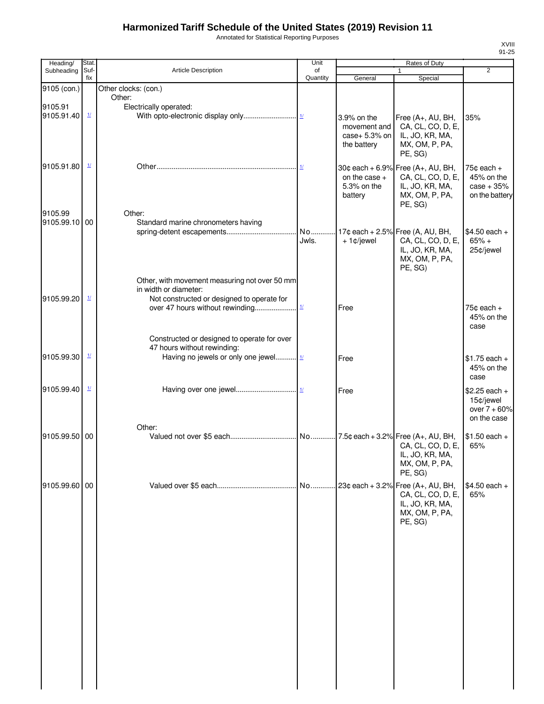Annotated for Statistical Reporting Purposes

| Heading/                 | Stat.                              |                                                                                                                      | Unit           |                                           | <b>Rates of Duty</b>                                                                                      |                                                              |
|--------------------------|------------------------------------|----------------------------------------------------------------------------------------------------------------------|----------------|-------------------------------------------|-----------------------------------------------------------------------------------------------------------|--------------------------------------------------------------|
| Subheading               | Suf-<br>fix                        | <b>Article Description</b>                                                                                           | of<br>Quantity | General                                   | 1<br>Special                                                                                              | $\overline{2}$                                               |
| 9105 (con.)              |                                    | Other clocks: (con.)                                                                                                 |                |                                           |                                                                                                           |                                                              |
| 9105.91<br>9105.91.40    | $\frac{1}{2}$                      | Other:<br>Electrically operated:                                                                                     |                | 3.9% on the<br>movement and               | Free (A+, AU, BH,<br>CA, CL, CO, D, E,                                                                    | 35%                                                          |
| 9105.91.80               | $\frac{1}{2}$                      |                                                                                                                      |                | case+ 5.3% on<br>the battery              | IL, JO, KR, MA,<br>MX, OM, P, PA,<br>PE, SG)<br>30¢ each + 6.9% Free (A+, AU, BH,                         | 75 $\texttt{c}$ each +                                       |
|                          |                                    |                                                                                                                      |                | on the case $+$<br>5.3% on the<br>battery | CA, CL, CO, D, E,<br>IL, JO, KR, MA,<br>MX, OM, P, PA,<br>PE, SG)                                         | 45% on the<br>$case + 35%$<br>on the battery                 |
| 9105.99<br>9105.99.10 00 |                                    | Other:<br>Standard marine chronometers having                                                                        |                |                                           |                                                                                                           |                                                              |
|                          |                                    |                                                                                                                      | Jwls.          | $+1¢$ jewel                               | No 17¢ each + 2.5% Free (A, AU, BH,<br>CA, CL, CO, D, E,<br>IL, JO, KR, MA,<br>MX, OM, P, PA,<br>PE, SG)  | $$4.50$ each +<br>$65% +$<br>25¢/jewel                       |
| 9105.99.20               | $\underline{\mathbf{1}\mathbf{1}}$ | Other, with movement measuring not over 50 mm<br>in width or diameter:<br>Not constructed or designed to operate for |                | Free                                      |                                                                                                           | $75¢$ each $+$<br>45% on the                                 |
|                          |                                    | Constructed or designed to operate for over                                                                          |                |                                           |                                                                                                           | case                                                         |
| 9105.99.30               | $\overline{\mathbf{1}l}$           | 47 hours without rewinding:<br>Having no jewels or only one jewel                                                    |                | Free                                      |                                                                                                           | $$1.75$ each +<br>45% on the<br>case                         |
| 9105.99.40               | $\underline{\mathbf{1}l}$          |                                                                                                                      |                | Free                                      |                                                                                                           | $$2.25$ each +<br>15¢/jewel<br>over $7 + 60%$<br>on the case |
|                          |                                    | Other:                                                                                                               |                |                                           |                                                                                                           |                                                              |
| 9105.99.50 00            |                                    |                                                                                                                      |                |                                           | CA, CL, CO, D, E,<br>IL, JO, KR, MA,<br>MX, OM, P, PA,<br>PE, SG)                                         | $$1.50$ each +<br>65%                                        |
| 9105.99.60 00            |                                    |                                                                                                                      |                |                                           | No 23¢ each + 3.2% Free (A+, AU, BH,<br>CA, CL, CO, D, E,<br>IL, JO, KR, MA,<br>MX, OM, P, PA,<br>PE, SG) | $$4.50$ each +<br>65%                                        |
|                          |                                    |                                                                                                                      |                |                                           |                                                                                                           |                                                              |
|                          |                                    |                                                                                                                      |                |                                           |                                                                                                           |                                                              |
|                          |                                    |                                                                                                                      |                |                                           |                                                                                                           |                                                              |
|                          |                                    |                                                                                                                      |                |                                           |                                                                                                           |                                                              |
|                          |                                    |                                                                                                                      |                |                                           |                                                                                                           |                                                              |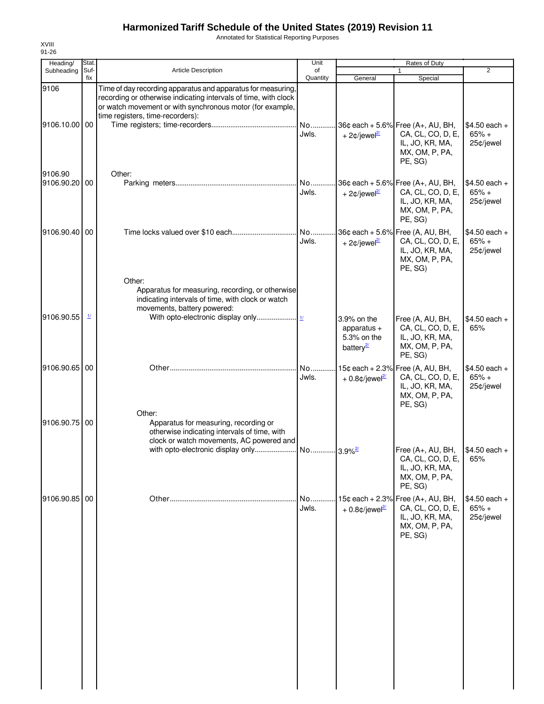Annotated for Statistical Reporting Purposes

| Heading/              | Stat.                    |                                                                                                                                                                                              | Unit           |                                                                     | Rates of Duty                                                                                          |                                        |
|-----------------------|--------------------------|----------------------------------------------------------------------------------------------------------------------------------------------------------------------------------------------|----------------|---------------------------------------------------------------------|--------------------------------------------------------------------------------------------------------|----------------------------------------|
| Subheading            | Suf-<br>fix              | <b>Article Description</b>                                                                                                                                                                   | of<br>Quantity | General                                                             | Special                                                                                                | $\overline{2}$                         |
| 9106                  |                          | Time of day recording apparatus and apparatus for measuring,<br>recording or otherwise indicating intervals of time, with clock<br>or watch movement or with synchronous motor (for example, |                |                                                                     |                                                                                                        |                                        |
| 9106.10.00 00         |                          | time registers, time-recorders):                                                                                                                                                             | No<br>Jwls.    | + 2 $\phi$ /jewel <sup>2/</sup>                                     | 36¢ each + 5.6% Free (A+, AU, BH,<br>CA, CL, CO, D, E,<br>IL, JO, KR, MA,<br>MX, OM, P, PA,<br>PE, SG) | $$4.50$ each +<br>$65% +$<br>25¢/jewel |
| 9106.90<br>9106.90.20 | 00                       | Other:                                                                                                                                                                                       | No<br>Jwls.    | + 2 $\phi$ /jewel <sup>2/</sup>                                     | 36¢ each + 5.6% Free (A+, AU, BH,<br>CA, CL, CO, D, E,<br>IL, JO, KR, MA,<br>MX, OM, P, PA,<br>PE, SG) | $$4.50$ each +<br>$65% +$<br>25¢/jewel |
| 9106.90.40 00         |                          |                                                                                                                                                                                              | No<br>Jwls.    | + 2 $\phi$ /jewel <sup>2/</sup>                                     | 36¢ each + 5.6% Free (A, AU, BH,<br>CA, CL, CO, D, E,<br>IL, JO, KR, MA,<br>MX, OM, P, PA,<br>PE, SG)  | $$4.50$ each +<br>$65% +$<br>25¢/jewel |
| 9106.90.55            | $\mathbf{\underline{1}}$ | Other:<br>Apparatus for measuring, recording, or otherwise<br>indicating intervals of time, with clock or watch<br>movements, battery powered:                                               |                | 3.9% on the<br>apparatus $+$<br>5.3% on the<br>battery <sup>2</sup> | Free (A, AU, BH,<br>CA, CL, CO, D, E,<br>IL, JO, KR, MA,<br>MX, OM, P, PA,<br>PE, SG)                  | $$4.50$ each +<br>65%                  |
| 9106.90.65 00         |                          |                                                                                                                                                                                              | No<br>Jwls.    | + $0.8$ ¢/jewel <sup>2/</sup>                                       | 15¢ each + 2.3% Free (A, AU, BH,<br>CA, CL, CO, D, E,<br>IL, JO, KR, MA,<br>MX, OM, P, PA,<br>PE, SG)  | $$4.50$ each +<br>$65% +$<br>25¢/jewel |
| 9106.90.75            | 00                       | Other:<br>Apparatus for measuring, recording or<br>otherwise indicating intervals of time, with<br>clock or watch movements, AC powered and                                                  |                |                                                                     | Free (A+, AU, BH,<br>CA, CL, CO, D, E,<br>IL, JO, KR, MA,<br>MX, OM, P, PA,<br>PE, SG)                 | $$4.50$ each +<br>65%                  |
| 9106.90.85 00         |                          |                                                                                                                                                                                              | No<br>Jwls.    | $+0.8$ ¢/jewel <sup>2/</sup>                                        | 15¢ each + 2.3% Free (A+, AU, BH,<br>CA, CL, CO, D, E,<br>IL, JO, KR, MA,<br>MX, OM, P, PA,<br>PE, SG) | $$4.50$ each +<br>$65% +$<br>25¢/jewel |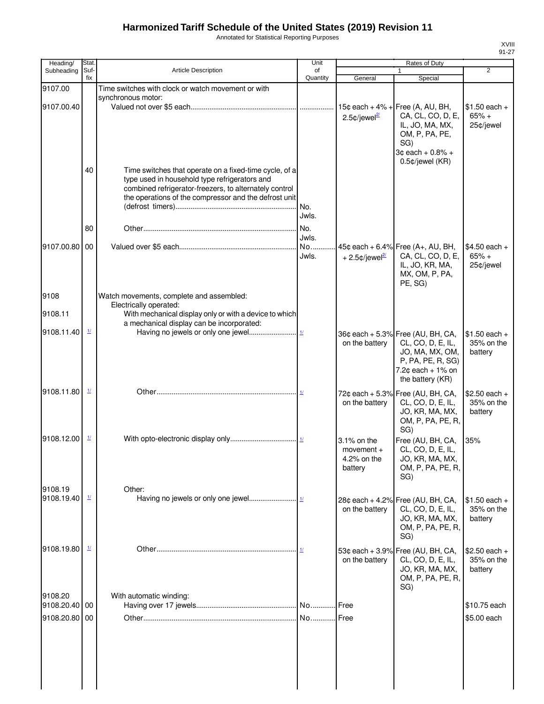Annotated for Statistical Reporting Purposes

| Heading/                 | Stat.                                       |                                                        | Unit           |                                                 | Rates of Duty                                          |                              |
|--------------------------|---------------------------------------------|--------------------------------------------------------|----------------|-------------------------------------------------|--------------------------------------------------------|------------------------------|
| Subheading               | Suf-<br>fix                                 | <b>Article Description</b>                             | of<br>Quantity | General                                         | 1<br>Special                                           | $\overline{2}$               |
| 9107.00                  |                                             | Time switches with clock or watch movement or with     |                |                                                 |                                                        |                              |
|                          |                                             | synchronous motor:                                     |                |                                                 |                                                        |                              |
| 9107.00.40               |                                             |                                                        |                | $15¢$ each + 4% +                               | Free (A, AU, BH,                                       | $$1.50$ each +               |
|                          |                                             |                                                        |                | 2.5 $\text{C}/\text{level}^{2l}$                | CA, CL, CO, D, E,                                      | $65% +$                      |
|                          |                                             |                                                        |                |                                                 | IL, JO, MA, MX,                                        | 25¢/jewel                    |
|                          |                                             |                                                        |                |                                                 | OM, P, PA, PE,<br>SG)                                  |                              |
|                          |                                             |                                                        |                |                                                 | 3¢ each + 0.8% +                                       |                              |
|                          |                                             |                                                        |                |                                                 | 0.5¢/jewel (KR)                                        |                              |
|                          | 40                                          | Time switches that operate on a fixed-time cycle, of a |                |                                                 |                                                        |                              |
|                          |                                             | type used in household type refrigerators and          |                |                                                 |                                                        |                              |
|                          |                                             | combined refrigerator-freezers, to alternately control |                |                                                 |                                                        |                              |
|                          |                                             | the operations of the compressor and the defrost unit  |                |                                                 |                                                        |                              |
|                          |                                             |                                                        | Jwls.          |                                                 |                                                        |                              |
|                          |                                             |                                                        |                |                                                 |                                                        |                              |
|                          | 80                                          |                                                        | No.            |                                                 |                                                        |                              |
| 9107.00.80 00            |                                             |                                                        | Jwls.<br>No    |                                                 |                                                        | $$4.50$ each +               |
|                          |                                             |                                                        | Jwls.          | + 2.5 $\text{\textdegree}$ /jewel $\frac{2}{2}$ | 45¢ each + 6.4% Free (A+, AU, BH,<br>CA, CL, CO, D, E, | $65% +$                      |
|                          |                                             |                                                        |                |                                                 | IL, JO, KR, MA,                                        | 25¢/jewel                    |
|                          |                                             |                                                        |                |                                                 | MX, OM, P, PA,                                         |                              |
|                          |                                             |                                                        |                |                                                 | PE, SG)                                                |                              |
| 9108                     |                                             | Watch movements, complete and assembled:               |                |                                                 |                                                        |                              |
|                          |                                             | Electrically operated:                                 |                |                                                 |                                                        |                              |
| 9108.11                  |                                             | With mechanical display only or with a device to which |                |                                                 |                                                        |                              |
|                          | $\mathbf{\underline{1}}$                    | a mechanical display can be incorporated:              |                |                                                 |                                                        |                              |
| 9108.11.40               |                                             |                                                        |                |                                                 | 36¢ each + 5.3% Free (AU, BH, CA,                      | $$1.50$ each +               |
|                          |                                             |                                                        |                | on the battery                                  | CL, CO, D, E, IL,                                      | 35% on the                   |
|                          |                                             |                                                        |                |                                                 | JO, MA, MX, OM,<br>P, PA, PE, R, SG)                   | battery                      |
|                          |                                             |                                                        |                |                                                 | $7.2¢$ each + 1% on                                    |                              |
|                          |                                             |                                                        |                |                                                 | the battery (KR)                                       |                              |
| 9108.11.80               | $\mathbf{\underline{1}}$                    |                                                        |                |                                                 | 72¢ each + 5.3% Free (AU, BH, CA,                      | $$2.50$ each +               |
|                          |                                             |                                                        |                | on the battery                                  | CL, CO, D, E, IL,                                      | 35% on the                   |
|                          |                                             |                                                        |                |                                                 | JO, KR, MA, MX,                                        | battery                      |
|                          |                                             |                                                        |                |                                                 | OM, P, PA, PE, R,                                      |                              |
|                          |                                             |                                                        |                |                                                 | SG)                                                    |                              |
| 9108.12.00               | $\mathbf{\underline{\mathit{1}}\mathit{1}}$ |                                                        |                | 3.1% on the                                     | Free (AU, BH, CA,                                      | 35%                          |
|                          |                                             |                                                        |                | $momentum +$                                    | CL, CO, D, E, IL,                                      |                              |
|                          |                                             |                                                        |                | 4.2% on the<br>battery                          | JO, KR, MA, MX,<br>OM, P, PA, PE, R,                   |                              |
|                          |                                             |                                                        |                |                                                 | SG)                                                    |                              |
| 9108.19                  |                                             |                                                        |                |                                                 |                                                        |                              |
| 9108.19.40               | $\mathbf{\underline{1}}$                    | Other:                                                 |                |                                                 |                                                        |                              |
|                          |                                             |                                                        |                | on the battery                                  | 28¢ each + 4.2% Free (AU, BH, CA,<br>CL, CO, D, E, IL, | $$1.50$ each +<br>35% on the |
|                          |                                             |                                                        |                |                                                 | JO, KR, MA, MX,                                        | battery                      |
|                          |                                             |                                                        |                |                                                 | OM, P, PA, PE, R,                                      |                              |
|                          |                                             |                                                        |                |                                                 | SG)                                                    |                              |
| 9108.19.80               | $\mathbf{\underline{1}}$                    |                                                        |                |                                                 | 53¢ each + 3.9% Free (AU, BH, CA,                      | $$2.50$ each +               |
|                          |                                             |                                                        |                | on the battery                                  | CL, CO, D, E, IL,                                      | 35% on the                   |
|                          |                                             |                                                        |                |                                                 | JO, KR, MA, MX,                                        | battery                      |
|                          |                                             |                                                        |                |                                                 | OM, P, PA, PE, R,                                      |                              |
|                          |                                             |                                                        |                |                                                 | SG)                                                    |                              |
| 9108.20<br>9108.20.40 00 |                                             | With automatic winding:                                |                |                                                 |                                                        | \$10.75 each                 |
|                          |                                             |                                                        |                |                                                 |                                                        |                              |
| 9108.20.80 00            |                                             |                                                        | No             | Free                                            |                                                        | \$5.00 each                  |
|                          |                                             |                                                        |                |                                                 |                                                        |                              |
|                          |                                             |                                                        |                |                                                 |                                                        |                              |
|                          |                                             |                                                        |                |                                                 |                                                        |                              |
|                          |                                             |                                                        |                |                                                 |                                                        |                              |
|                          |                                             |                                                        |                |                                                 |                                                        |                              |
|                          |                                             |                                                        |                |                                                 |                                                        |                              |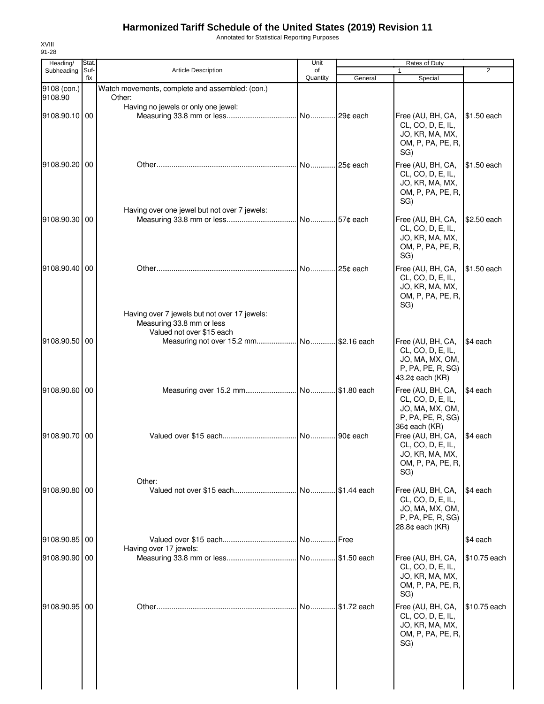Annotated for Statistical Reporting Purposes

| Heading/      | Stat.       |                                                 | Unit           |             | Rates of Duty                          |              |
|---------------|-------------|-------------------------------------------------|----------------|-------------|----------------------------------------|--------------|
| Subheading    | Suf-<br>fix | <b>Article Description</b>                      | of<br>Quantity | General     | $\mathbf{1}$<br>Special                | 2            |
| 9108 (con.)   |             | Watch movements, complete and assembled: (con.) |                |             |                                        |              |
| 9108.90       |             | Other:                                          |                |             |                                        |              |
| 9108.90.10 00 |             | Having no jewels or only one jewel:             | No 29¢ each    |             | Free (AU, BH, CA,                      | \$1.50 each  |
|               |             |                                                 |                |             | CL, CO, D, E, IL,                      |              |
|               |             |                                                 |                |             | JO, KR, MA, MX,                        |              |
|               |             |                                                 |                |             | OM, P, PA, PE, R,<br>SG)               |              |
| 9108.90.20 00 |             |                                                 |                |             | Free (AU, BH, CA,                      | \$1.50 each  |
|               |             |                                                 |                |             | CL, CO, D, E, IL,                      |              |
|               |             |                                                 |                |             | JO, KR, MA, MX,                        |              |
|               |             |                                                 |                |             | OM, P, PA, PE, R,<br>SG)               |              |
|               |             | Having over one jewel but not over 7 jewels:    |                |             |                                        |              |
| 9108.90.30 00 |             |                                                 |                |             | Free (AU, BH, CA,<br>CL, CO, D, E, IL, | \$2.50 each  |
|               |             |                                                 |                |             | JO, KR, MA, MX,                        |              |
|               |             |                                                 |                |             | OM, P, PA, PE, R,                      |              |
|               |             |                                                 |                |             | SG)                                    |              |
| 9108.90.40 00 |             |                                                 | No 25¢ each    |             | Free (AU, BH, CA,<br>CL, CO, D, E, IL, | \$1.50 each  |
|               |             |                                                 |                |             | JO, KR, MA, MX,                        |              |
|               |             |                                                 |                |             | OM, P, PA, PE, R,<br>SG)               |              |
|               |             | Having over 7 jewels but not over 17 jewels:    |                |             |                                        |              |
|               |             | Measuring 33.8 mm or less                       |                |             |                                        |              |
| 9108.90.50 00 |             | Valued not over \$15 each                       |                |             | Free (AU, BH, CA,                      | \$4 each     |
|               |             |                                                 |                |             | CL, CO, D, E, IL,                      |              |
|               |             |                                                 |                |             | JO, MA, MX, OM,                        |              |
|               |             |                                                 |                |             | P, PA, PE, R, SG)<br>43.2¢ each (KR)   |              |
| 9108.90.60 00 |             |                                                 |                |             | Free (AU, BH, CA,                      | \$4 each     |
|               |             |                                                 |                |             | CL, CO, D, E, IL,                      |              |
|               |             |                                                 |                |             | JO, MA, MX, OM,<br>P, PA, PE, R, SG)   |              |
|               |             |                                                 |                |             | 36¢ each (KR)                          |              |
| 9108.90.70 00 |             |                                                 | No             | 90¢ each    | Free (AU, BH, CA,                      | \$4 each     |
|               |             |                                                 |                |             | CL, CO, D, E, IL,<br>JO, KR, MA, MX,   |              |
|               |             |                                                 |                |             | OM, P, PA, PE, R,                      |              |
|               |             | Other:                                          |                |             | SG)                                    |              |
| 9108.90.80 00 |             |                                                 |                |             | Free (AU, BH, CA,                      | \$4 each     |
|               |             |                                                 |                |             | CL, CO, D, E, IL,                      |              |
|               |             |                                                 |                |             | JO, MA, MX, OM,<br>P, PA, PE, R, SG)   |              |
|               |             |                                                 |                |             | $28.8¢$ each $(KR)$                    |              |
| 9108.90.85 00 |             |                                                 | No Free        |             |                                        | \$4 each     |
| 9108.90.90 00 |             | Having over 17 jewels:                          |                |             | Free (AU, BH, CA,                      | \$10.75 each |
|               |             |                                                 |                |             | CL, CO, D, E, IL,                      |              |
|               |             |                                                 |                |             | JO, KR, MA, MX,                        |              |
|               |             |                                                 |                |             | OM, P, PA, PE, R,<br>SG)               |              |
| 9108.90.95 00 |             |                                                 | No             | \$1.72 each | Free (AU, BH, CA,                      | \$10.75 each |
|               |             |                                                 |                |             | CL, CO, D, E, IL,                      |              |
|               |             |                                                 |                |             | JO, KR, MA, MX,                        |              |
|               |             |                                                 |                |             | OM, P, PA, PE, R,<br>SG)               |              |
|               |             |                                                 |                |             |                                        |              |
|               |             |                                                 |                |             |                                        |              |
|               |             |                                                 |                |             |                                        |              |
|               |             |                                                 |                |             |                                        |              |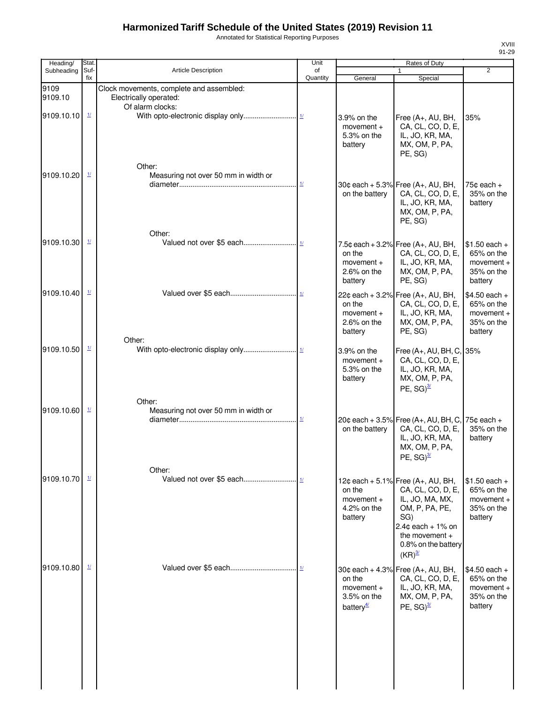Annotated for Statistical Reporting Purposes

| Heading/        | Stat.                              |                                                                                        | Unit                               |                                                                | <b>Rates of Duty</b>                                                                                                                                                                |                                                                       |
|-----------------|------------------------------------|----------------------------------------------------------------------------------------|------------------------------------|----------------------------------------------------------------|-------------------------------------------------------------------------------------------------------------------------------------------------------------------------------------|-----------------------------------------------------------------------|
| Subheading      | Suf-                               | <b>Article Description</b>                                                             | of                                 |                                                                |                                                                                                                                                                                     | $\overline{2}$                                                        |
|                 | fix                                |                                                                                        | Quantity                           | General                                                        | Special                                                                                                                                                                             |                                                                       |
| 9109<br>9109.10 |                                    | Clock movements, complete and assembled:<br>Electrically operated:<br>Of alarm clocks: |                                    |                                                                |                                                                                                                                                                                     |                                                                       |
| 9109.10.10      | $\mathbf{\underline{11}}$          | Other:                                                                                 |                                    | 3.9% on the<br>movement $+$<br>5.3% on the<br>battery          | Free (A+, AU, BH,<br>CA, CL, CO, D, E,<br>IL, JO, KR, MA,<br>MX, OM, P, PA,<br>PE, SG)                                                                                              | 35%                                                                   |
| 9109.10.20      | $\mathbf{\underline{1}}$           | Measuring not over 50 mm in width or                                                   | $\frac{1}{2}$                      | on the battery                                                 | 30¢ each + 5.3% Free (A+, AU, BH,<br>CA, CL, CO, D, E,<br>IL, JO, KR, MA,<br>MX, OM, P, PA,<br>PE, SG)                                                                              | 75 $c$ each $+$<br>35% on the<br>battery                              |
| 9109.10.30      | $\underline{\mathbf{1}\mathbf{1}}$ | Other:                                                                                 |                                    | on the<br>$momentum +$<br>2.6% on the<br>battery               | 7.5¢ each + 3.2% Free $(A_{+}, AU, BH,$<br>CA, CL, CO, D, E,<br>IL, JO, KR, MA,<br>MX, OM, P, PA,<br>PE, SG)                                                                        | $$1.50$ each +<br>65% on the<br>$moverent +$<br>35% on the<br>battery |
| 9109.10.40      | $\frac{1}{2}$                      | Other:                                                                                 |                                    | on the<br>movement $+$<br>2.6% on the<br>battery               | 22¢ each + 3.2% Free (A+, AU, BH,<br>CA, CL, CO, D, E,<br>IL, JO, KR, MA,<br>MX, OM, P, PA,<br>PE, SG)                                                                              | $$4.50$ each +<br>65% on the<br>movement +<br>35% on the<br>battery   |
| 9109.10.50      | $\frac{1}{2}$                      | Other:                                                                                 |                                    | 3.9% on the<br>movement $+$<br>5.3% on the<br>battery          | Free (A+, AU, BH, C, 35%<br>CA, CL, CO, D, E,<br>IL, JO, KR, MA,<br>MX, OM, P, PA,<br>PE, $SG)^{3/2}$                                                                               |                                                                       |
| 9109.10.60      | $\frac{1}{2}$                      | Measuring not over 50 mm in width or                                                   | $\underline{\mathit{1}\mathit{l}}$ | on the battery                                                 | 20¢ each + 3.5% Free (A+, AU, BH, C, 75¢ each +<br>CA, CL, CO, D, E,<br>IL, JO, KR, MA,<br>MX, OM, P, PA,<br>PE, $SG)^{3/2}$                                                        | 35% on the<br>battery                                                 |
| 9109.10.70      | $\mathbf{\underline{1}}$           | Other:                                                                                 |                                    | on the<br>movement +<br>4.2% on the<br>battery                 | 12¢ each + 5.1% Free (A+, AU, BH,<br>CA, CL, CO, D, E,<br>IL, JO, MA, MX,<br>OM, P, PA, PE,<br>SG)<br>$2.4$ ¢ each + 1% on<br>the movement +<br>0.8% on the battery<br>$(KR)^{3/2}$ | $$1.50$ each +<br>65% on the<br>$momentum +$<br>35% on the<br>battery |
| 9109.10.80      | $\mathbf{\underline{1}}$           |                                                                                        |                                    | on the<br>$momentum +$<br>3.5% on the<br>battery $\frac{4}{3}$ | 30¢ each + 4.3% Free (A+, AU, BH,<br>CA, CL, CO, D, E,<br>IL, JO, KR, MA,<br>MX, OM, P, PA,<br>PE, $SG)^{3/2}$                                                                      | $$4.50$ each +<br>65% on the<br>movement $+$<br>35% on the<br>battery |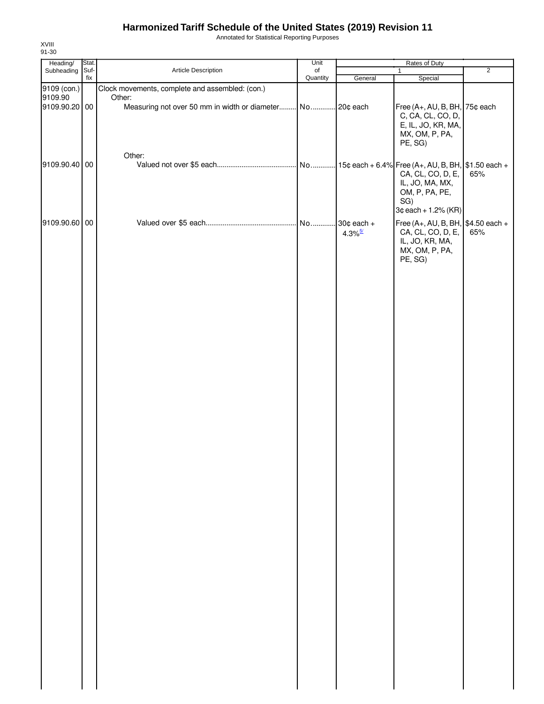Annotated for Statistical Reporting Purposes

| Heading/                 | Stat.       |                                                                     | Unit           |                                         | Rates of Duty                                                                                 |                |
|--------------------------|-------------|---------------------------------------------------------------------|----------------|-----------------------------------------|-----------------------------------------------------------------------------------------------|----------------|
| Subheading               | Suf-<br>fix | Article Description                                                 | of<br>Quantity | General                                 | $\mathbf{1}$<br>Special                                                                       | $\overline{2}$ |
| 9109 (con.)              |             | Clock movements, complete and assembled: (con.)                     |                |                                         |                                                                                               |                |
| 9109.90<br>9109.90.20 00 |             | Other:<br>Measuring not over 50 mm in width or diameter No 20¢ each |                |                                         | Free (A+, AU, B, BH, 75¢ each<br>C, CA, CL, CO, D,<br>E, IL, JO, KR, MA,                      |                |
| 9109.90.40 00            |             | Other:                                                              |                |                                         | MX, OM, P, PA,<br>PE, SG)                                                                     |                |
|                          |             |                                                                     |                |                                         | CA, CL, CO, D, E,<br>IL, JO, MA, MX,<br>OM, P, PA, PE,<br>SG)<br>$3¢$ each + 1.2% (KR)        | 65%            |
| 9109.90.60 00            |             |                                                                     | No             | $30¢$ each $+$<br>$4.3\%$ <sup>5/</sup> | Free (A+, AU, B, BH, $$4.50$ each +<br>CA, CL, CO, D, E,<br>IL, JO, KR, MA,<br>MX, OM, P, PA, | 65%            |
|                          |             |                                                                     |                |                                         | PE, SG)                                                                                       |                |
|                          |             |                                                                     |                |                                         |                                                                                               |                |
|                          |             |                                                                     |                |                                         |                                                                                               |                |
|                          |             |                                                                     |                |                                         |                                                                                               |                |
|                          |             |                                                                     |                |                                         |                                                                                               |                |
|                          |             |                                                                     |                |                                         |                                                                                               |                |
|                          |             |                                                                     |                |                                         |                                                                                               |                |
|                          |             |                                                                     |                |                                         |                                                                                               |                |
|                          |             |                                                                     |                |                                         |                                                                                               |                |
|                          |             |                                                                     |                |                                         |                                                                                               |                |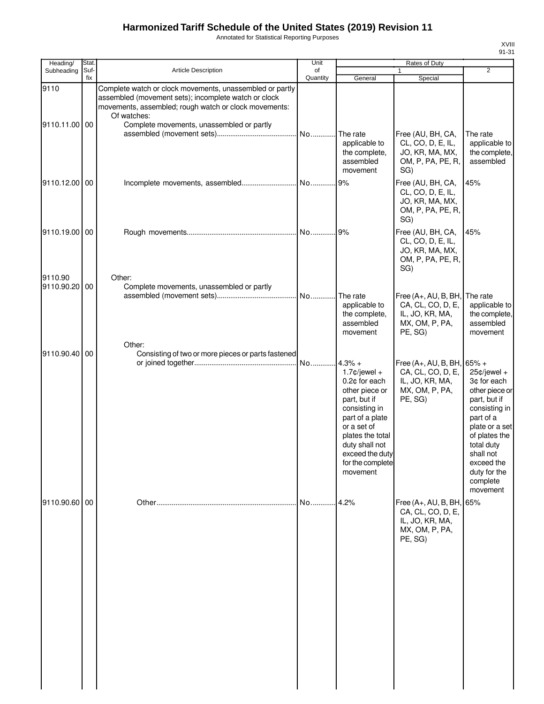Annotated for Statistical Reporting Purposes

| Heading/                 | Stat.       |                                                                                                                                                                                                                                       | Unit           |                                                                                                                                                                                                                            | <b>Rates of Duty</b>                                                                               |                                                                                                                                                                                                                   |
|--------------------------|-------------|---------------------------------------------------------------------------------------------------------------------------------------------------------------------------------------------------------------------------------------|----------------|----------------------------------------------------------------------------------------------------------------------------------------------------------------------------------------------------------------------------|----------------------------------------------------------------------------------------------------|-------------------------------------------------------------------------------------------------------------------------------------------------------------------------------------------------------------------|
| Subheading               | Suf-<br>fix | <b>Article Description</b>                                                                                                                                                                                                            | of<br>Quantity | General                                                                                                                                                                                                                    | $\mathbf{1}$<br>Special                                                                            | 2                                                                                                                                                                                                                 |
| 9110<br>9110.11.00 00    |             | Complete watch or clock movements, unassembled or partly<br>assembled (movement sets); incomplete watch or clock<br>movements, assembled; rough watch or clock movements:<br>Of watches:<br>Complete movements, unassembled or partly | No             | The rate<br>applicable to<br>the complete,<br>assembled<br>movement                                                                                                                                                        | Free (AU, BH, CA,<br>CL, CO, D, E, IL,<br>JO, KR, MA, MX,<br>OM, P, PA, PE, R,<br>SG)              | The rate<br>applicable to<br>the complete,<br>assembled                                                                                                                                                           |
| 9110.12.00 00            |             |                                                                                                                                                                                                                                       |                | 9%                                                                                                                                                                                                                         | Free (AU, BH, CA,<br>CL, CO, D, E, IL,<br>JO, KR, MA, MX,<br>OM, P, PA, PE, R,<br>SG)              | 45%                                                                                                                                                                                                               |
| 9110.19.00 00            |             |                                                                                                                                                                                                                                       |                |                                                                                                                                                                                                                            | Free (AU, BH, CA,<br>CL, CO, D, E, IL,<br>JO, KR, MA, MX,<br>OM, P, PA, PE, R,<br>SG)              | 45%                                                                                                                                                                                                               |
| 9110.90<br>9110.90.20 00 |             | Other:<br>Complete movements, unassembled or partly                                                                                                                                                                                   |                | The rate<br>applicable to<br>the complete,<br>assembled<br>movement                                                                                                                                                        | Free (A+, AU, B, BH,<br>CA, CL, CO, D, E,<br>IL, JO, KR, MA,<br>MX, OM, P, PA,<br>PE, SG)          | The rate<br>applicable to<br>the complete,<br>assembled<br>movement                                                                                                                                               |
| 9110.90.40 00            |             | Other:<br>Consisting of two or more pieces or parts fastened                                                                                                                                                                          | No             | $4.3% +$<br>$1.7$ ¢/jewel +<br>0.2¢ for each<br>other piece or<br>part, but if<br>consisting in<br>part of a plate<br>or a set of<br>plates the total<br>duty shall not<br>exceed the duty<br>for the complete<br>movement | Free (A+, AU, B, BH, $65\%$ +<br>CA, CL, CO, D, E,<br>IL, JO, KR, MA,<br>MX, OM, P, PA,<br>PE, SG) | $25¢$ /jewel +<br>3¢ for each<br>other piece or<br>part, but if<br>consisting in<br>part of a<br>plate or a set<br>of plates the<br>total duty<br>shall not<br>exceed the<br>duty for the<br>complete<br>movement |
| 9110.90.60 00            |             |                                                                                                                                                                                                                                       | No             | 4.2%                                                                                                                                                                                                                       | Free (A+, AU, B, BH,<br>CA, CL, CO, D, E,<br>IL, JO, KR, MA,<br>MX, OM, P, PA,<br>PE, SG)          | 65%                                                                                                                                                                                                               |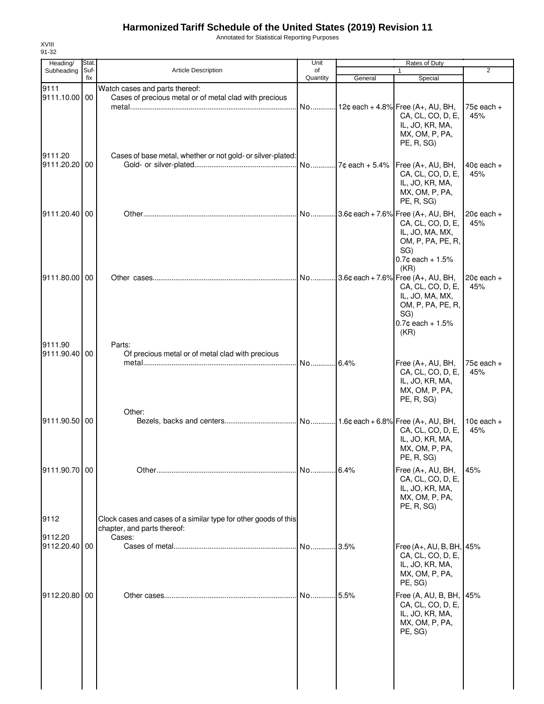Annotated for Statistical Reporting Purposes

| Heading/                 | <b>Stat</b> |                                                                                                          | Unit           |                  | Rates of Duty                                                                                                                             |                               |
|--------------------------|-------------|----------------------------------------------------------------------------------------------------------|----------------|------------------|-------------------------------------------------------------------------------------------------------------------------------------------|-------------------------------|
| Subheading               | Suf-<br>fix | <b>Article Description</b>                                                                               | of<br>Quantity | General          | 1<br>Special                                                                                                                              | $\overline{2}$                |
| 9111<br>9111.10.00 00    |             | Watch cases and parts thereof:<br>Cases of precious metal or of metal clad with precious                 | No             |                  | 12¢ each + 4.8% Free (A+, AU, BH,<br>CA, CL, CO, D, E,                                                                                    | 75 $¢$ each $+$<br>45%        |
| 9111.20<br>9111.20.20 00 |             | Cases of base metal, whether or not gold- or silver-plated:                                              | No             | $7c$ each + 5.4% | IL, JO, KR, MA,<br>MX, OM, P, PA,<br>PE, R, SG)<br>Free (A+, AU, BH,                                                                      | $40¢$ each $+$                |
|                          |             |                                                                                                          |                |                  | CA, CL, CO, D, E,<br>IL, JO, KR, MA,<br>MX, OM, P, PA,<br>PE, R, SG)                                                                      | 45%                           |
| 9111.20.40 00            |             |                                                                                                          | No             |                  | $.3.6$ ¢ each + 7.6% Free (A+, AU, BH,<br>CA, CL, CO, D, E,<br>IL, JO, MA, MX,<br>OM, P, PA, PE, R,<br>SG)<br>$0.7$ ¢ each + 1.5%<br>(KR) | $20¢$ each +<br>45%           |
| 9111.80.00 00            |             |                                                                                                          | No             |                  | $3.6¢$ each + 7.6% Free (A+, AU, BH,<br>CA, CL, CO, D, E,<br>IL, JO, MA, MX,<br>OM, P, PA, PE, R,<br>SG)<br>$0.7$ ¢ each + 1.5%<br>(KR)   | $20¢$ each $+$<br>45%         |
| 9111.90<br>9111.90.40 00 |             | Parts:<br>Of precious metal or of metal clad with precious                                               | No             | 6.4%             | Free (A+, AU, BH,<br>CA, CL, CO, D, E,<br>IL, JO, KR, MA,<br>MX, OM, P, PA,<br>PE, R, SG)                                                 | $75¢$ each +<br>45%           |
| 9111.90.50 00            |             | Other:                                                                                                   |                |                  | CA, CL, CO, D, E,<br>IL, JO, KR, MA,<br>MX, OM, P, PA,<br>PE, R, SG)                                                                      | 10 $\texttt{c}$ each +<br>45% |
| 9111.90.70 00            |             |                                                                                                          | No 6.4%        |                  | Free (A+, AU, BH,<br>CA, CL, CO, D, E,<br>IL, JO, KR, MA,<br>MX, OM, P, PA,<br>PE, R, SG)                                                 | 45%                           |
| 9112<br>9112.20          |             | Clock cases and cases of a similar type for other goods of this<br>chapter, and parts thereof:<br>Cases: |                |                  |                                                                                                                                           |                               |
| 9112.20.40 00            |             |                                                                                                          | No             | .3.5%            | Free (A+, AU, B, BH, 45%<br>CA, CL, CO, D, E,<br>IL, JO, KR, MA,<br>MX, OM, P, PA,<br>PE, SG)                                             |                               |
| 9112.20.80 00            |             |                                                                                                          | No 5.5%        |                  | Free (A, AU, B, BH,<br>CA, CL, CO, D, E,<br>IL, JO, KR, MA,<br>MX, OM, P, PA,<br>PE, SG)                                                  | 45%                           |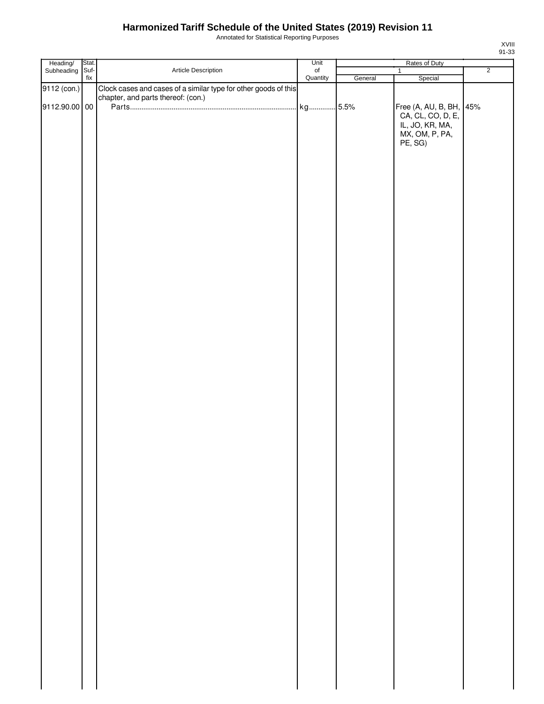Annotated for Statistical Reporting Purposes

|                        | Stat. |                                                                 | Unit           |         | Rates of Duty                                |                |
|------------------------|-------|-----------------------------------------------------------------|----------------|---------|----------------------------------------------|----------------|
| Heading/<br>Subheading | Suf-  | Article Description                                             | of<br>Quantity |         | $\mathbf{1}$                                 | $\overline{2}$ |
|                        | fix   |                                                                 |                | General | Special                                      |                |
| 9112 (con.)            |       | Clock cases and cases of a similar type for other goods of this |                |         |                                              |                |
|                        |       | chapter, and parts thereof: (con.)                              |                |         |                                              |                |
| 9112.90.00 00          |       |                                                                 |                |         |                                              |                |
|                        |       |                                                                 |                |         |                                              |                |
|                        |       |                                                                 |                |         | Free (A, AU, B, BH, 45%<br>CA, CL, CO, D, E, |                |
|                        |       |                                                                 |                |         | IL, JO, KR, MA,                              |                |
|                        |       |                                                                 |                |         |                                              |                |
|                        |       |                                                                 |                |         | MX, OM, P, PA,<br>PE, SG)                    |                |
|                        |       |                                                                 |                |         |                                              |                |
|                        |       |                                                                 |                |         |                                              |                |
|                        |       |                                                                 |                |         |                                              |                |
|                        |       |                                                                 |                |         |                                              |                |
|                        |       |                                                                 |                |         |                                              |                |
|                        |       |                                                                 |                |         |                                              |                |
|                        |       |                                                                 |                |         |                                              |                |
|                        |       |                                                                 |                |         |                                              |                |
|                        |       |                                                                 |                |         |                                              |                |
|                        |       |                                                                 |                |         |                                              |                |
|                        |       |                                                                 |                |         |                                              |                |
|                        |       |                                                                 |                |         |                                              |                |
|                        |       |                                                                 |                |         |                                              |                |
|                        |       |                                                                 |                |         |                                              |                |
|                        |       |                                                                 |                |         |                                              |                |
|                        |       |                                                                 |                |         |                                              |                |
|                        |       |                                                                 |                |         |                                              |                |
|                        |       |                                                                 |                |         |                                              |                |
|                        |       |                                                                 |                |         |                                              |                |
|                        |       |                                                                 |                |         |                                              |                |
|                        |       |                                                                 |                |         |                                              |                |
|                        |       |                                                                 |                |         |                                              |                |
|                        |       |                                                                 |                |         |                                              |                |
|                        |       |                                                                 |                |         |                                              |                |
|                        |       |                                                                 |                |         |                                              |                |
|                        |       |                                                                 |                |         |                                              |                |
|                        |       |                                                                 |                |         |                                              |                |
|                        |       |                                                                 |                |         |                                              |                |
|                        |       |                                                                 |                |         |                                              |                |
|                        |       |                                                                 |                |         |                                              |                |
|                        |       |                                                                 |                |         |                                              |                |
|                        |       |                                                                 |                |         |                                              |                |
|                        |       |                                                                 |                |         |                                              |                |
|                        |       |                                                                 |                |         |                                              |                |
|                        |       |                                                                 |                |         |                                              |                |
|                        |       |                                                                 |                |         |                                              |                |
|                        |       |                                                                 |                |         |                                              |                |
|                        |       |                                                                 |                |         |                                              |                |
|                        |       |                                                                 |                |         |                                              |                |
|                        |       |                                                                 |                |         |                                              |                |
|                        |       |                                                                 |                |         |                                              |                |
|                        |       |                                                                 |                |         |                                              |                |
|                        |       |                                                                 |                |         |                                              |                |
|                        |       |                                                                 |                |         |                                              |                |
|                        |       |                                                                 |                |         |                                              |                |
|                        |       |                                                                 |                |         |                                              |                |
|                        |       |                                                                 |                |         |                                              |                |
|                        |       |                                                                 |                |         |                                              |                |
|                        |       |                                                                 |                |         |                                              |                |
|                        |       |                                                                 |                |         |                                              |                |
|                        |       |                                                                 |                |         |                                              |                |
|                        |       |                                                                 |                |         |                                              |                |
|                        |       |                                                                 |                |         |                                              |                |
|                        |       |                                                                 |                |         |                                              |                |
|                        |       |                                                                 |                |         |                                              |                |
|                        |       |                                                                 |                |         |                                              |                |
|                        |       |                                                                 |                |         |                                              |                |
|                        |       |                                                                 |                |         |                                              |                |
|                        |       |                                                                 |                |         |                                              |                |
|                        |       |                                                                 |                |         |                                              |                |
|                        |       |                                                                 |                |         |                                              |                |
|                        |       |                                                                 |                |         |                                              |                |
|                        |       |                                                                 |                |         |                                              |                |
|                        |       |                                                                 |                |         |                                              |                |
|                        |       |                                                                 |                |         |                                              |                |
|                        |       |                                                                 |                |         |                                              |                |
|                        |       |                                                                 |                |         |                                              |                |
|                        |       |                                                                 |                |         |                                              |                |
|                        |       |                                                                 |                |         |                                              |                |
|                        |       |                                                                 |                |         |                                              |                |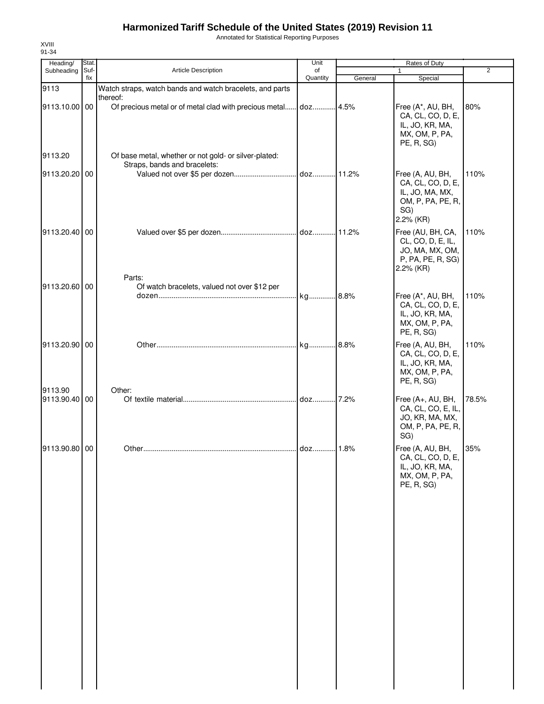Annotated for Statistical Reporting Purposes

| Heading/                 | Stat.       |                                                                                                                             | Unit           |         | Rates of Duty                                                                                     |       |
|--------------------------|-------------|-----------------------------------------------------------------------------------------------------------------------------|----------------|---------|---------------------------------------------------------------------------------------------------|-------|
| Subheading               | Suf-<br>fix | <b>Article Description</b>                                                                                                  | of<br>Quantity | General | $\mathbf{1}$<br>Special                                                                           | 2     |
| 9113                     |             | Watch straps, watch bands and watch bracelets, and parts                                                                    |                |         |                                                                                                   |       |
| 9113.10.00 00<br>9113.20 |             | thereof:<br>Of precious metal or of metal clad with precious metal<br>Of base metal, whether or not gold- or silver-plated: | doz 4.5%       |         | Free (A*, AU, BH,<br>CA, CL, CO, D, E,<br>IL, JO, KR, MA,<br>MX, OM, P, PA,<br>PE, R, SG)         | 80%   |
| 9113.20.20 00            |             | Straps, bands and bracelets:                                                                                                |                |         | Free (A, AU, BH,<br>CA, CL, CO, D, E,<br>IL, JO, MA, MX,<br>OM, P, PA, PE, R,<br>SG)<br>2.2% (KR) | 110%  |
| 9113.20.40 00            |             | Parts:                                                                                                                      |                |         | Free (AU, BH, CA,<br>CL, CO, D, E, IL,<br>JO, MA, MX, OM,<br>P, PA, PE, R, SG)<br>2.2% (KR)       | 110%  |
| 9113.20.60 00            |             | Of watch bracelets, valued not over \$12 per                                                                                |                |         | Free (A*, AU, BH,<br>CA, CL, CO, D, E,<br>IL, JO, KR, MA,<br>MX, OM, P, PA,<br>PE, R, SG)         | 110%  |
| 9113.20.90 00            |             |                                                                                                                             |                |         | Free (A, AU, BH,<br>CA, CL, CO, D, E,<br>IL, JO, KR, MA,<br>MX, OM, P, PA,<br>PE, R, SG)          | 110%  |
| 9113.90<br>9113.90.40 00 |             | Other:                                                                                                                      |                |         | Free (A+, AU, BH,<br>CA, CL, CO, E, IL,<br>JO, KR, MA, MX,<br>OM, P, PA, PE, R,<br>SG)            | 78.5% |
| 9113.90.80 00            |             |                                                                                                                             | . doz 1.8%     |         | Free (A, AU, BH,<br>CA, CL, CO, D, E,<br>IL, JO, KR, MA,<br>MX, OM, P, PA,<br>PE, R, SG)          | 35%   |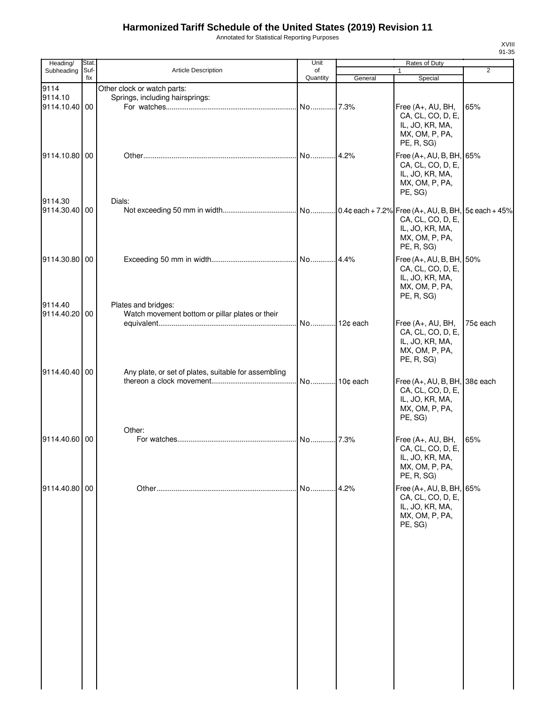Annotated for Statistical Reporting Purposes

| Heading/      | <b>Stat</b> |                                                      | Unit        |         | Rates of Duty                 |                |
|---------------|-------------|------------------------------------------------------|-------------|---------|-------------------------------|----------------|
| Subheading    | Suf-        | Article Description                                  | of          |         |                               | $\overline{2}$ |
|               | fix         |                                                      | Quantity    | General | Special                       |                |
| 9114          |             | Other clock or watch parts:                          |             |         |                               |                |
| 9114.10       |             | Springs, including hairsprings:                      |             |         |                               |                |
| 9114.10.40 00 |             |                                                      |             |         | Free (A+, AU, BH,             | 65%            |
|               |             |                                                      |             |         | CA, CL, CO, D, E,             |                |
|               |             |                                                      |             |         | IL, JO, KR, MA,               |                |
|               |             |                                                      |             |         | MX, OM, P, PA,                |                |
|               |             |                                                      |             |         | PE, R, SG)                    |                |
| 9114.10.80 00 |             |                                                      | . No.       | 4.2%    | Free (A+, AU, B, BH, 65%      |                |
|               |             |                                                      |             |         | CA, CL, CO, D, E,             |                |
|               |             |                                                      |             |         | IL, JO, KR, MA,               |                |
|               |             |                                                      |             |         | MX, OM, P, PA,                |                |
|               |             |                                                      |             |         | PE, SG)                       |                |
| 9114.30       |             | Dials:                                               |             |         |                               |                |
| 9114.30.40 00 |             |                                                      |             |         |                               |                |
|               |             |                                                      |             |         | CA, CL, CO, D, E,             |                |
|               |             |                                                      |             |         | IL, JO, KR, MA,               |                |
|               |             |                                                      |             |         | MX, OM, P, PA,                |                |
|               |             |                                                      |             |         | PE, R, SG)                    |                |
| 9114.30.80 00 |             |                                                      |             | 4.4%    | Free (A+, AU, B, BH, 50%      |                |
|               |             |                                                      |             |         | CA, CL, CO, D, E,             |                |
|               |             |                                                      |             |         | IL, JO, KR, MA,               |                |
|               |             |                                                      |             |         | MX, OM, P, PA,                |                |
|               |             |                                                      |             |         | PE, R, SG)                    |                |
| 9114.40       |             | Plates and bridges:                                  |             |         |                               |                |
| 9114.40.20 00 |             | Watch movement bottom or pillar plates or their      |             |         |                               |                |
|               |             |                                                      |             |         | Free (A+, AU, BH,             | 75¢ each       |
|               |             |                                                      |             |         | CA, CL, CO, D, E,             |                |
|               |             |                                                      |             |         | IL, JO, KR, MA,               |                |
|               |             |                                                      |             |         | MX, OM, P, PA,                |                |
|               |             |                                                      |             |         | PE, R, SG)                    |                |
|               |             |                                                      |             |         |                               |                |
| 9114.40.40 00 |             | Any plate, or set of plates, suitable for assembling |             |         |                               |                |
|               |             |                                                      | No 10¢ each |         | Free (A+, AU, B, BH, 38¢ each |                |
|               |             |                                                      |             |         | CA, CL, CO, D, E,             |                |
|               |             |                                                      |             |         | IL, JO, KR, MA,               |                |
|               |             |                                                      |             |         | MX, OM, P, PA,                |                |
|               |             |                                                      |             |         | PE, SG)                       |                |
|               |             | Other:                                               |             |         |                               |                |
| 9114.40.60 00 |             |                                                      | No          | 7.3%    | Free (A+, AU, BH,             | 65%            |
|               |             |                                                      |             |         | CA, CL, CO, D, E,             |                |
|               |             |                                                      |             |         | IL, JO, KR, MA,               |                |
|               |             |                                                      |             |         | MX, OM, P, PA,                |                |
|               |             |                                                      |             |         | PE, R, SG)                    |                |
| 9114.40.80 00 |             |                                                      | No          | 4.2%    | Free (A+, AU, B, BH, 65%      |                |
|               |             |                                                      |             |         | CA, CL, CO, D, E,             |                |
|               |             |                                                      |             |         | IL, JO, KR, MA,               |                |
|               |             |                                                      |             |         | MX, OM, P, PA,                |                |
|               |             |                                                      |             |         | PE, SG)                       |                |
|               |             |                                                      |             |         |                               |                |
|               |             |                                                      |             |         |                               |                |
|               |             |                                                      |             |         |                               |                |
|               |             |                                                      |             |         |                               |                |
|               |             |                                                      |             |         |                               |                |
|               |             |                                                      |             |         |                               |                |
|               |             |                                                      |             |         |                               |                |
|               |             |                                                      |             |         |                               |                |
|               |             |                                                      |             |         |                               |                |
|               |             |                                                      |             |         |                               |                |
|               |             |                                                      |             |         |                               |                |
|               |             |                                                      |             |         |                               |                |
|               |             |                                                      |             |         |                               |                |
|               |             |                                                      |             |         |                               |                |
|               |             |                                                      |             |         |                               |                |
|               |             |                                                      |             |         |                               |                |
|               |             |                                                      |             |         |                               |                |
|               |             |                                                      |             |         |                               |                |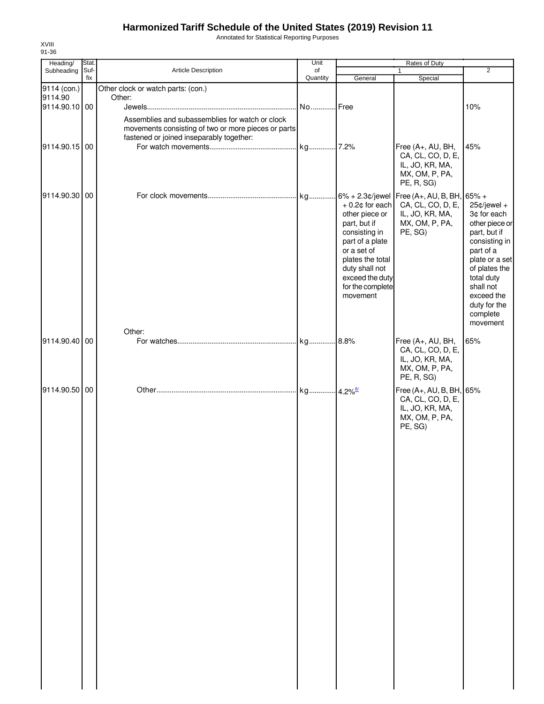Annotated for Statistical Reporting Purposes

| Heading/      | Stat.       |                                                                                                                                                    | Unit           |                                                                                                                                                                                                 | Rates of Duty                                                                                                       |                                                                                                                                                                                                                   |
|---------------|-------------|----------------------------------------------------------------------------------------------------------------------------------------------------|----------------|-------------------------------------------------------------------------------------------------------------------------------------------------------------------------------------------------|---------------------------------------------------------------------------------------------------------------------|-------------------------------------------------------------------------------------------------------------------------------------------------------------------------------------------------------------------|
| Subheading    | Suf-<br>fix | <b>Article Description</b>                                                                                                                         | of<br>Quantity | General                                                                                                                                                                                         | $\mathbf{1}$<br>Special                                                                                             | $\overline{2}$                                                                                                                                                                                                    |
| 9114 (con.)   |             | Other clock or watch parts: (con.)                                                                                                                 |                |                                                                                                                                                                                                 |                                                                                                                     |                                                                                                                                                                                                                   |
| 9114.90       |             | Other:                                                                                                                                             |                |                                                                                                                                                                                                 |                                                                                                                     |                                                                                                                                                                                                                   |
| 9114.90.10 00 |             |                                                                                                                                                    |                |                                                                                                                                                                                                 |                                                                                                                     | 10%                                                                                                                                                                                                               |
| 9114.90.15 00 |             | Assemblies and subassemblies for watch or clock<br>movements consisting of two or more pieces or parts<br>fastened or joined inseparably together: |                |                                                                                                                                                                                                 | Free (A+, AU, BH,<br>CA, CL, CO, D, E,<br>IL, JO, KR, MA,<br>MX, OM, P, PA,                                         | 45%                                                                                                                                                                                                               |
|               |             |                                                                                                                                                    |                |                                                                                                                                                                                                 | PE, R, SG)                                                                                                          |                                                                                                                                                                                                                   |
| 9114.90.30 00 |             |                                                                                                                                                    |                | $+0.2$ ¢ for each<br>other piece or<br>part, but if<br>consisting in<br>part of a plate<br>or a set of<br>plates the total<br>duty shall not<br>exceed the duty<br>for the complete<br>movement | $.6\%$ + 2.3¢/jewel Free (A+, AU, B, BH, 65% +<br>CA, CL, CO, D, E,<br>IL, JO, KR, MA,<br>MX, OM, P, PA,<br>PE, SG) | $25¢$ /jewel +<br>3¢ for each<br>other piece or<br>part, but if<br>consisting in<br>part of a<br>plate or a set<br>of plates the<br>total duty<br>shall not<br>exceed the<br>duty for the<br>complete<br>movement |
|               |             | Other:                                                                                                                                             |                |                                                                                                                                                                                                 |                                                                                                                     |                                                                                                                                                                                                                   |
| 9114.90.40 00 |             |                                                                                                                                                    |                |                                                                                                                                                                                                 | Free (A+, AU, BH,<br>CA, CL, CO, D, E,<br>IL, JO, KR, MA,<br>MX, OM, P, PA,<br>PE, R, SG)                           | 65%                                                                                                                                                                                                               |
| 9114.90.50 00 |             |                                                                                                                                                    |                |                                                                                                                                                                                                 | Free (A+, AU, B, BH, 65%<br>CA, CL, CO, D, E,<br>IL, JO, KR, MA,<br>MX, OM, P, PA,<br>PE, SG)                       |                                                                                                                                                                                                                   |